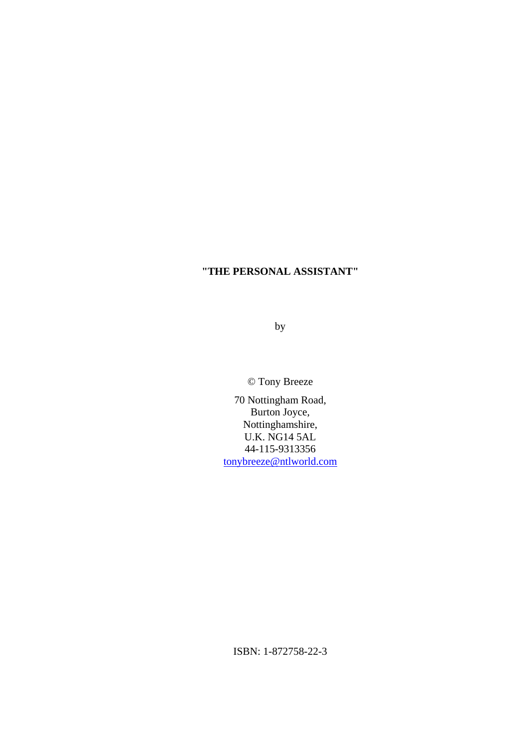by

© Tony Breeze

70 Nottingham Road, Burton Joyce, Nottinghamshire, U.K. NG14 5AL 44-115-9313356 [tonybreeze@ntlworld.com](mailto:tonybreeze@ntlworld.com)

ISBN: 1-872758-22-3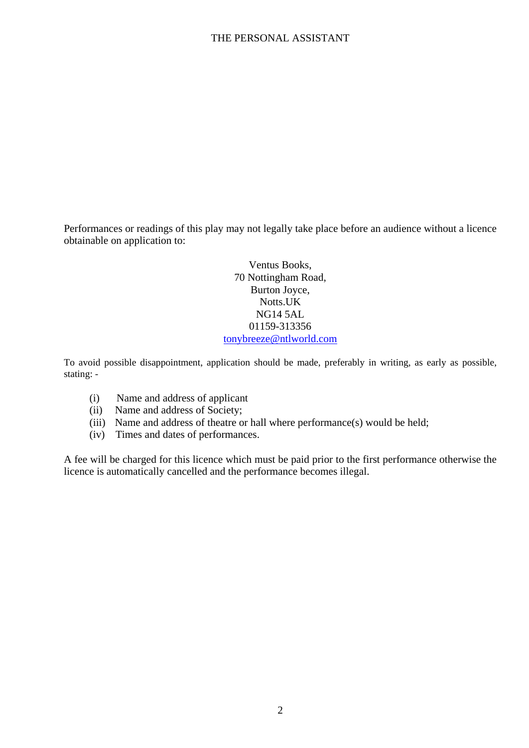Performances or readings of this play may not legally take place before an audience without a licence obtainable on application to:

> Ventus Books, 70 Nottingham Road, Burton Joyce, Notts.UK NG14 5AL 01159-313356 [tonybreeze@ntlworld.com](mailto:tonybreeze@ntlworld.com)

To avoid possible disappointment, application should be made, preferably in writing, as early as possible, stating: -

- (i) Name and address of applicant
- (ii) Name and address of Society;
- (iii) Name and address of theatre or hall where performance(s) would be held;
- (iv) Times and dates of performances.

A fee will be charged for this licence which must be paid prior to the first performance otherwise the licence is automatically cancelled and the performance becomes illegal.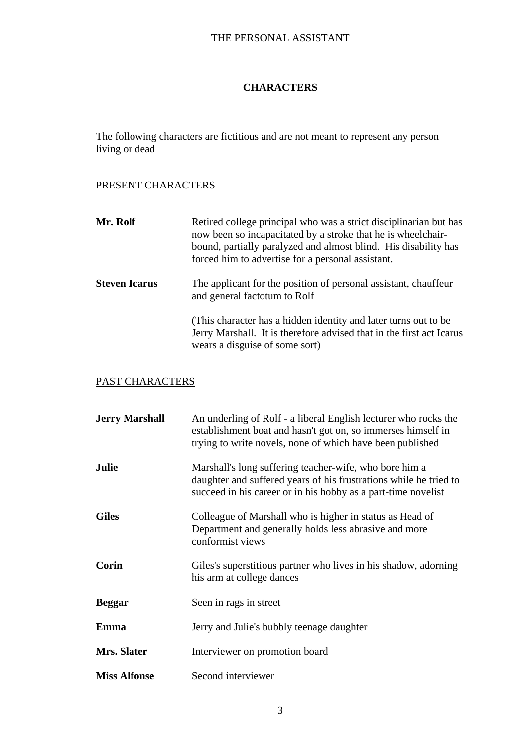### **CHARACTERS**

The following characters are fictitious and are not meant to represent any person living or dead

### PRESENT CHARACTERS

| Mr. Rolf             | Retired college principal who was a strict disciplinarian but has<br>now been so incapacitated by a stroke that he is wheelchair-<br>bound, partially paralyzed and almost blind. His disability has<br>forced him to advertise for a personal assistant. |
|----------------------|-----------------------------------------------------------------------------------------------------------------------------------------------------------------------------------------------------------------------------------------------------------|
| <b>Steven Icarus</b> | The applicant for the position of personal assistant, chauffeur<br>and general factorum to Rolf                                                                                                                                                           |
|                      | (This character has a hidden identity and later turns out to be<br>Jerry Marshall. It is therefore advised that in the first act Icarus<br>wears a disguise of some sort)                                                                                 |

### PAST CHARACTERS

| <b>Jerry Marshall</b> | An underling of Rolf - a liberal English lecturer who rocks the<br>establishment boat and hasn't got on, so immerses himself in<br>trying to write novels, none of which have been published |
|-----------------------|----------------------------------------------------------------------------------------------------------------------------------------------------------------------------------------------|
| <b>Julie</b>          | Marshall's long suffering teacher-wife, who bore him a<br>daughter and suffered years of his frustrations while he tried to<br>succeed in his career or in his hobby as a part-time novelist |
| <b>Giles</b>          | Colleague of Marshall who is higher in status as Head of<br>Department and generally holds less abrasive and more<br>conformist views                                                        |
| Corin                 | Giles's superstitious partner who lives in his shadow, adorning<br>his arm at college dances                                                                                                 |
| <b>Beggar</b>         | Seen in rags in street                                                                                                                                                                       |
| Emma                  | Jerry and Julie's bubbly teenage daughter                                                                                                                                                    |
| Mrs. Slater           | Interviewer on promotion board                                                                                                                                                               |
| <b>Miss Alfonse</b>   | Second interviewer                                                                                                                                                                           |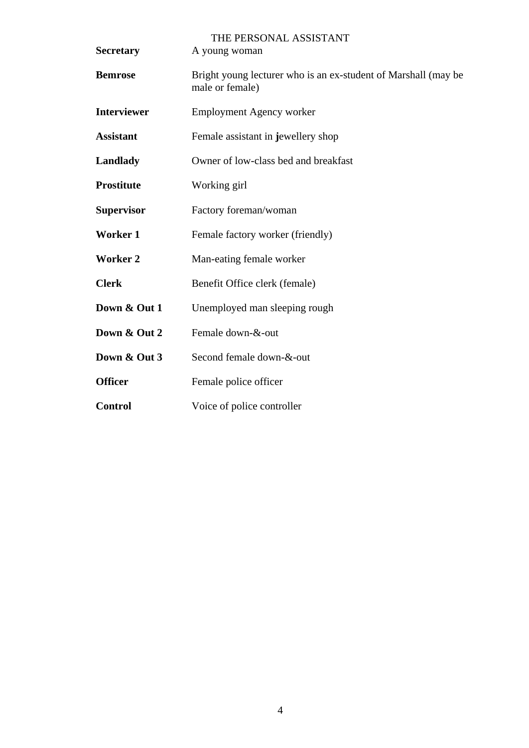| <b>Secretary</b>   | THE PERSONAL ASSISTANT<br>A young woman                                           |
|--------------------|-----------------------------------------------------------------------------------|
| <b>Bemrose</b>     | Bright young lecturer who is an ex-student of Marshall (may be<br>male or female) |
| <b>Interviewer</b> | <b>Employment Agency worker</b>                                                   |
| <b>Assistant</b>   | Female assistant in jewellery shop                                                |
| Landlady           | Owner of low-class bed and breakfast                                              |
| <b>Prostitute</b>  | Working girl                                                                      |
| <b>Supervisor</b>  | Factory foreman/woman                                                             |
| <b>Worker 1</b>    | Female factory worker (friendly)                                                  |
| <b>Worker 2</b>    | Man-eating female worker                                                          |
| <b>Clerk</b>       | Benefit Office clerk (female)                                                     |
| Down & Out 1       | Unemployed man sleeping rough                                                     |
| Down & Out 2       | Female down-&-out                                                                 |
| Down & Out 3       | Second female down-&-out                                                          |
| <b>Officer</b>     | Female police officer                                                             |
| <b>Control</b>     | Voice of police controller                                                        |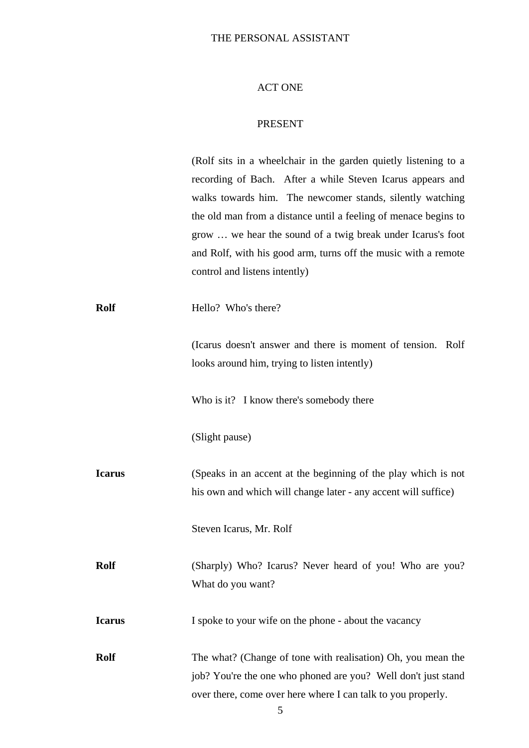#### ACT ONE

#### PRESENT

(Rolf sits in a wheelchair in the garden quietly listening to a recording of Bach. After a while Steven Icarus appears and walks towards him. The newcomer stands, silently watching the old man from a distance until a feeling of menace begins to grow … we hear the sound of a twig break under Icarus's foot and Rolf, with his good arm, turns off the music with a remote control and listens intently)

**Rolf** Hello? Who's there?

(Icarus doesn't answer and there is moment of tension. Rolf looks around him, trying to listen intently)

Who is it? I know there's somebody there

(Slight pause)

**Icarus** (Speaks in an accent at the beginning of the play which is not his own and which will change later - any accent will suffice)

Steven Icarus, Mr. Rolf

**Rolf** (Sharply) Who? Icarus? Never heard of you! Who are you? What do you want?

**I spoke to your wife on the phone - about the vacancy** 

**Rolf** The what? (Change of tone with realisation) Oh, you mean the job? You're the one who phoned are you? Well don't just stand over there, come over here where I can talk to you properly.

5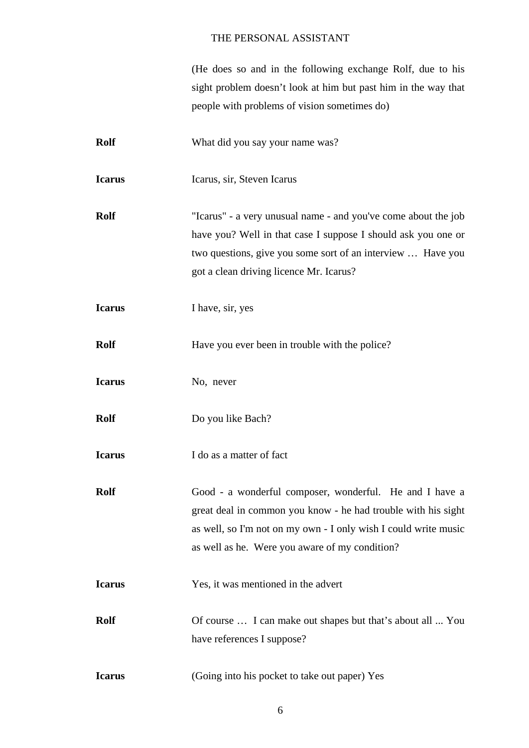(He does so and in the following exchange Rolf, due to his sight problem doesn't look at him but past him in the way that people with problems of vision sometimes do)

- **Rolf** What did you say your name was? **Icarus** Icarus, sir, Steven Icarus
- **Rolf** "Icarus" a very unusual name and you've come about the job have you? Well in that case I suppose I should ask you one or two questions, give you some sort of an interview … Have you got a clean driving licence Mr. Icarus?
- **I have, sir, yes**
- **Rolf** Have you ever been in trouble with the police?
- **Icarus** No, never
- **Rolf** Do you like Bach?
- **Icarus** I do as a matter of fact
- **Rolf** Good a wonderful composer, wonderful. He and I have a great deal in common you know - he had trouble with his sight as well, so I'm not on my own - I only wish I could write music as well as he. Were you aware of my condition?
- **Icarus** Yes, it was mentioned in the advert
- **Rolf** Of course ... I can make out shapes but that's about all ... You have references I suppose?
- **Icarus** (Going into his pocket to take out paper) Yes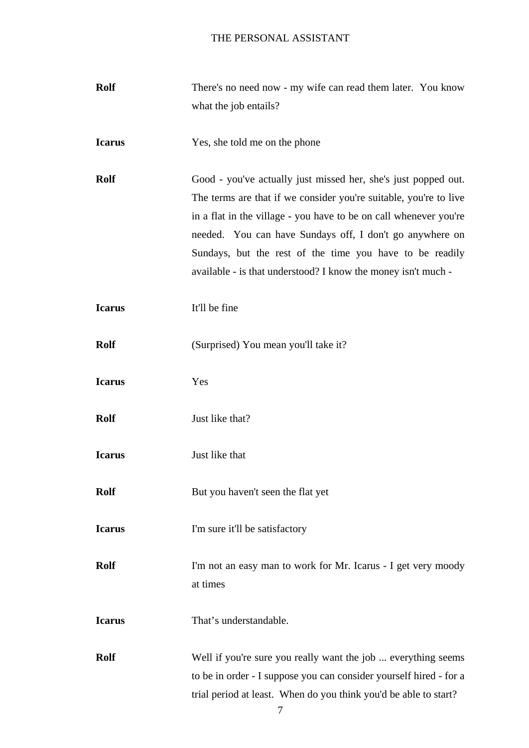| <b>Rolf</b>   | There's no need now - my wife can read them later. You know        |
|---------------|--------------------------------------------------------------------|
|               | what the job entails?                                              |
|               |                                                                    |
| <b>Icarus</b> | Yes, she told me on the phone                                      |
|               |                                                                    |
| <b>Rolf</b>   | Good - you've actually just missed her, she's just popped out.     |
|               | The terms are that if we consider you're suitable, you're to live  |
|               | in a flat in the village - you have to be on call whenever you're  |
|               | needed. You can have Sundays off, I don't go anywhere on           |
|               | Sundays, but the rest of the time you have to be readily           |
|               | available - is that understood? I know the money isn't much -      |
|               |                                                                    |
| <b>Icarus</b> | It'll be fine                                                      |
|               |                                                                    |
| <b>Rolf</b>   | (Surprised) You mean you'll take it?                               |
|               |                                                                    |
| <b>Icarus</b> | Yes                                                                |
|               |                                                                    |
| <b>Rolf</b>   | Just like that?                                                    |
|               |                                                                    |
| <b>Icarus</b> | Just like that                                                     |
|               |                                                                    |
| <b>Rolf</b>   | But you haven't seen the flat yet                                  |
|               |                                                                    |
| <b>Icarus</b> | I'm sure it'll be satisfactory                                     |
|               |                                                                    |
| <b>Rolf</b>   | I'm not an easy man to work for Mr. Icarus - I get very moody      |
|               | at times                                                           |
|               |                                                                    |
| <b>Icarus</b> | That's understandable.                                             |
|               |                                                                    |
| <b>Rolf</b>   | Well if you're sure you really want the job  everything seems      |
|               | to be in order - I suppose you can consider yourself hired - for a |
|               | trial period at least. When do you think you'd be able to start?   |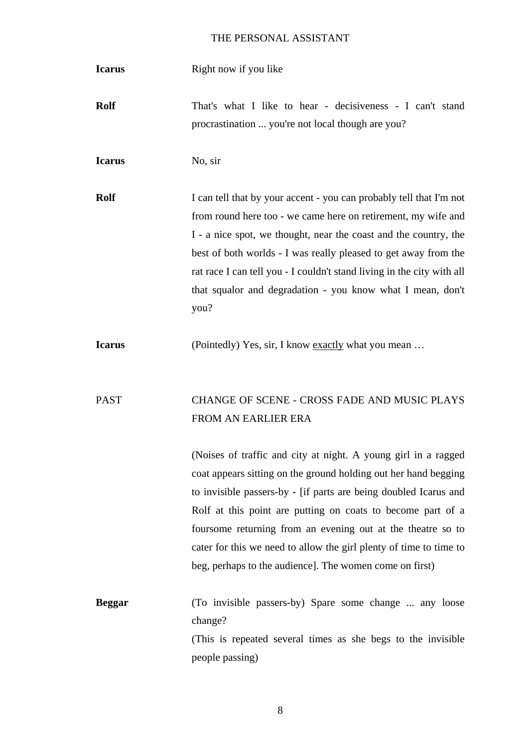**Icarus** Right now if you like

**Rolf** That's what I like to hear - decisiveness - I can't stand procrastination ... you're not local though are you?

**Icarus** No, sir

**Rolf** I can tell that by your accent - you can probably tell that I'm not from round here too - we came here on retirement, my wife and I - a nice spot, we thought, near the coast and the country, the best of both worlds - I was really pleased to get away from the rat race I can tell you - I couldn't stand living in the city with all that squalor and degradation - you know what I mean, don't you?

**Icarus** (Pointedly) Yes, sir, I know exactly what you mean ...

# PAST CHANGE OF SCENE - CROSS FADE AND MUSIC PLAYS FROM AN EARLIER ERA

(Noises of traffic and city at night. A young girl in a ragged coat appears sitting on the ground holding out her hand begging to invisible passers-by - [if parts are being doubled Icarus and Rolf at this point are putting on coats to become part of a foursome returning from an evening out at the theatre so to cater for this we need to allow the girl plenty of time to time to beg, perhaps to the audience]. The women come on first)

**Beggar** (To invisible passers-by) Spare some change ... any loose change? (This is repeated several times as she begs to the invisible people passing)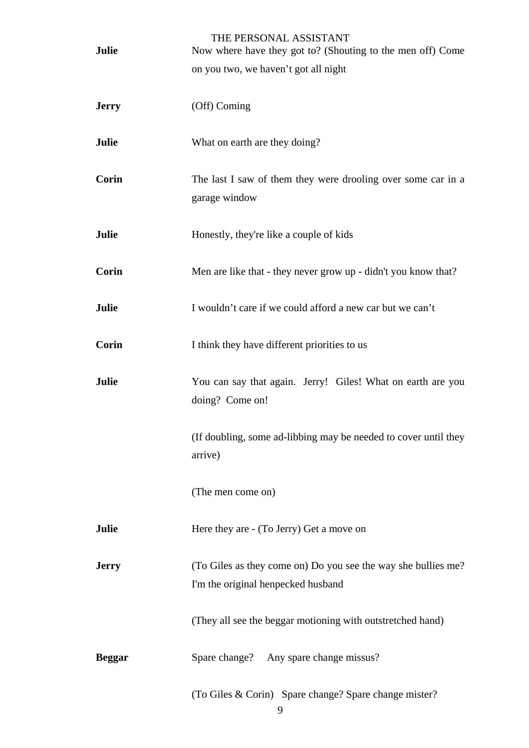| Julie         | THE PERSONAL ASSISTANT<br>Now where have they got to? (Shouting to the men off) Come |
|---------------|--------------------------------------------------------------------------------------|
|               | on you two, we haven't got all night                                                 |
| <b>Jerry</b>  | (Off) Coming                                                                         |
|               |                                                                                      |
| Julie         | What on earth are they doing?                                                        |
| Corin         | The last I saw of them they were drooling over some car in a                         |
|               | garage window                                                                        |
| Julie         | Honestly, they're like a couple of kids                                              |
| Corin         | Men are like that - they never grow up - didn't you know that?                       |
| Julie         | I wouldn't care if we could afford a new car but we can't                            |
| Corin         | I think they have different priorities to us                                         |
| Julie         | You can say that again. Jerry! Giles! What on earth are you<br>doing? Come on!       |
|               | (If doubling, some ad-libbing may be needed to cover until they<br>arrive)           |
|               | (The men come on)                                                                    |
| Julie         | Here they are - (To Jerry) Get a move on                                             |
| <b>Jerry</b>  | (To Giles as they come on) Do you see the way she bullies me?                        |
|               | I'm the original henpecked husband                                                   |
|               | (They all see the beggar motioning with outstretched hand)                           |
| <b>Beggar</b> | Spare change? Any spare change missus?                                               |
|               | (To Giles & Corin) Spare change? Spare change mister?<br>9                           |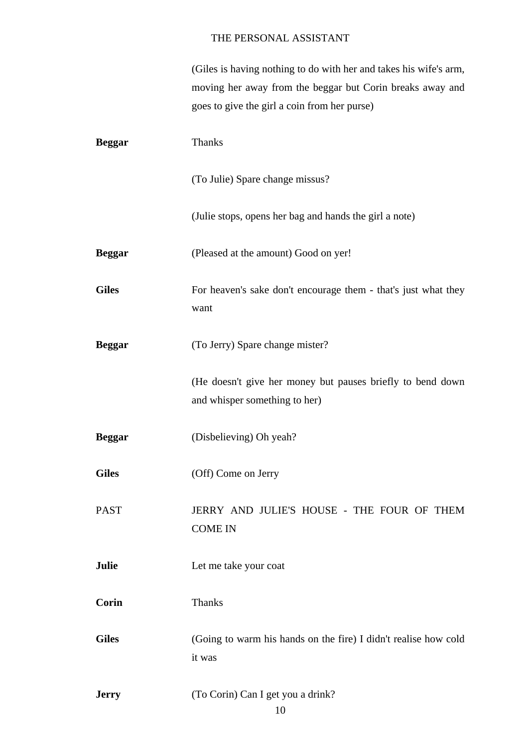(Giles is having nothing to do with her and takes his wife's arm, moving her away from the beggar but Corin breaks away and goes to give the girl a coin from her purse)

| <b>Beggar</b> | <b>Thanks</b>                                                                               |
|---------------|---------------------------------------------------------------------------------------------|
|               | (To Julie) Spare change missus?                                                             |
|               | (Julie stops, opens her bag and hands the girl a note)                                      |
| <b>Beggar</b> | (Pleased at the amount) Good on yer!                                                        |
| <b>Giles</b>  | For heaven's sake don't encourage them - that's just what they<br>want                      |
| <b>Beggar</b> | (To Jerry) Spare change mister?                                                             |
|               | (He doesn't give her money but pauses briefly to bend down<br>and whisper something to her) |
| <b>Beggar</b> | (Disbelieving) Oh yeah?                                                                     |
| <b>Giles</b>  | (Off) Come on Jerry                                                                         |
| <b>PAST</b>   | JERRY AND JULIE'S HOUSE - THE FOUR OF THEM<br><b>COME IN</b>                                |
| Julie         | Let me take your coat                                                                       |
| <b>Corin</b>  | <b>Thanks</b>                                                                               |
| <b>Giles</b>  | (Going to warm his hands on the fire) I didn't realise how cold<br>it was                   |
| <b>Jerry</b>  | (To Corin) Can I get you a drink?<br>10                                                     |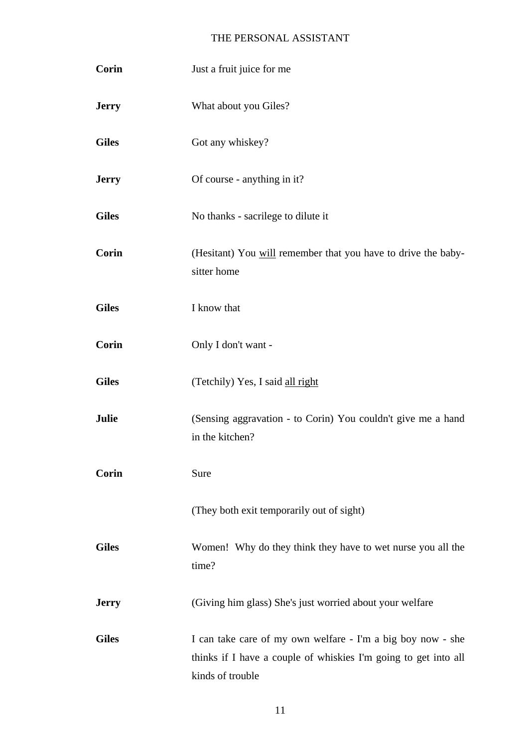| Corin        | Just a fruit juice for me                                                                                                                          |
|--------------|----------------------------------------------------------------------------------------------------------------------------------------------------|
| <b>Jerry</b> | What about you Giles?                                                                                                                              |
| <b>Giles</b> | Got any whiskey?                                                                                                                                   |
| <b>Jerry</b> | Of course - anything in it?                                                                                                                        |
| <b>Giles</b> | No thanks - sacrilege to dilute it                                                                                                                 |
| <b>Corin</b> | (Hesitant) You will remember that you have to drive the baby-<br>sitter home                                                                       |
| <b>Giles</b> | I know that                                                                                                                                        |
| <b>Corin</b> | Only I don't want -                                                                                                                                |
| <b>Giles</b> | (Tetchily) Yes, I said all right                                                                                                                   |
| Julie        | (Sensing aggravation - to Corin) You couldn't give me a hand<br>in the kitchen?                                                                    |
| Corin        | Sure                                                                                                                                               |
|              | (They both exit temporarily out of sight)                                                                                                          |
| <b>Giles</b> | Women! Why do they think they have to wet nurse you all the<br>time?                                                                               |
| <b>Jerry</b> | (Giving him glass) She's just worried about your welfare                                                                                           |
| <b>Giles</b> | I can take care of my own welfare - I'm a big boy now - she<br>thinks if I have a couple of whiskies I'm going to get into all<br>kinds of trouble |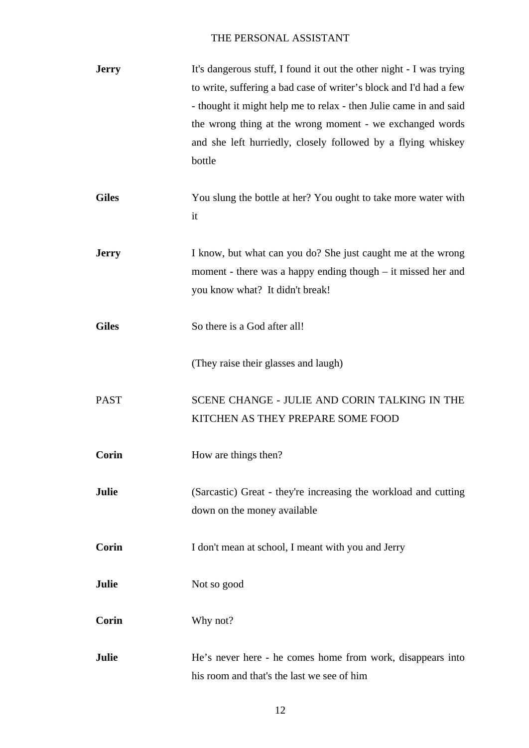| <b>Jerry</b> | It's dangerous stuff, I found it out the other night - I was trying<br>to write, suffering a bad case of writer's block and I'd had a few<br>- thought it might help me to relax - then Julie came in and said<br>the wrong thing at the wrong moment - we exchanged words<br>and she left hurriedly, closely followed by a flying whiskey<br>bottle |
|--------------|------------------------------------------------------------------------------------------------------------------------------------------------------------------------------------------------------------------------------------------------------------------------------------------------------------------------------------------------------|
| <b>Giles</b> | You slung the bottle at her? You ought to take more water with<br>it                                                                                                                                                                                                                                                                                 |
| <b>Jerry</b> | I know, but what can you do? She just caught me at the wrong<br>moment - there was a happy ending though $-$ it missed her and<br>you know what? It didn't break!                                                                                                                                                                                    |
| <b>Giles</b> | So there is a God after all!                                                                                                                                                                                                                                                                                                                         |
|              | (They raise their glasses and laugh)                                                                                                                                                                                                                                                                                                                 |
| <b>PAST</b>  | SCENE CHANGE - JULIE AND CORIN TALKING IN THE<br>KITCHEN AS THEY PREPARE SOME FOOD                                                                                                                                                                                                                                                                   |
| Corin        | How are things then?                                                                                                                                                                                                                                                                                                                                 |
| Julie        | (Sarcastic) Great - they're increasing the workload and cutting<br>down on the money available                                                                                                                                                                                                                                                       |
| Corin        | I don't mean at school, I meant with you and Jerry                                                                                                                                                                                                                                                                                                   |
| Julie        | Not so good                                                                                                                                                                                                                                                                                                                                          |
| Corin        | Why not?                                                                                                                                                                                                                                                                                                                                             |
| Julie        | He's never here - he comes home from work, disappears into<br>his room and that's the last we see of him                                                                                                                                                                                                                                             |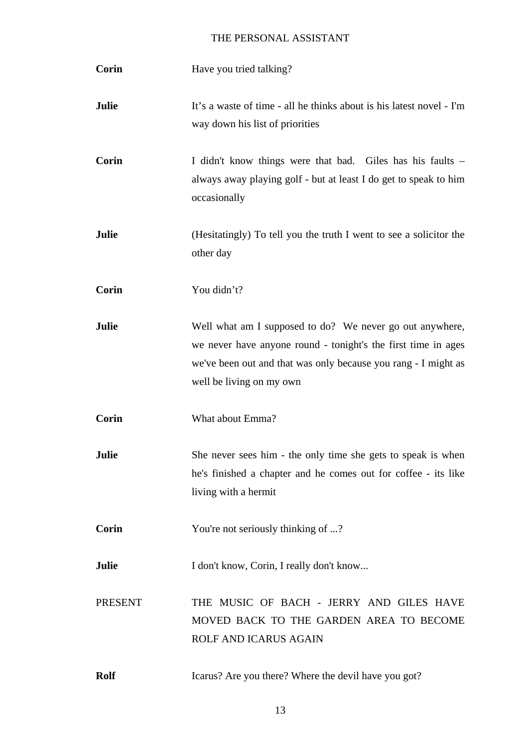| Corin          | Have you tried talking?                                                                                                                                                                                                 |
|----------------|-------------------------------------------------------------------------------------------------------------------------------------------------------------------------------------------------------------------------|
| Julie          | It's a waste of time - all he thinks about is his latest novel - I'm<br>way down his list of priorities                                                                                                                 |
| Corin          | I didn't know things were that bad. Giles has his faults –<br>always away playing golf - but at least I do get to speak to him<br>occasionally                                                                          |
| <b>Julie</b>   | (Hesitatingly) To tell you the truth I went to see a solicitor the<br>other day                                                                                                                                         |
| Corin          | You didn't?                                                                                                                                                                                                             |
| Julie          | Well what am I supposed to do? We never go out anywhere,<br>we never have anyone round - tonight's the first time in ages<br>we've been out and that was only because you rang - I might as<br>well be living on my own |
| Corin          | What about Emma?                                                                                                                                                                                                        |
| Julie          | She never sees him - the only time she gets to speak is when<br>he's finished a chapter and he comes out for coffee - its like<br>living with a hermit                                                                  |
| Corin          | You're not seriously thinking of ?                                                                                                                                                                                      |
| Julie          | I don't know, Corin, I really don't know                                                                                                                                                                                |
| <b>PRESENT</b> | THE MUSIC OF BACH - JERRY AND GILES HAVE<br>MOVED BACK TO THE GARDEN AREA TO BECOME<br>ROLF AND ICARUS AGAIN                                                                                                            |
| <b>Rolf</b>    | Icarus? Are you there? Where the devil have you got?                                                                                                                                                                    |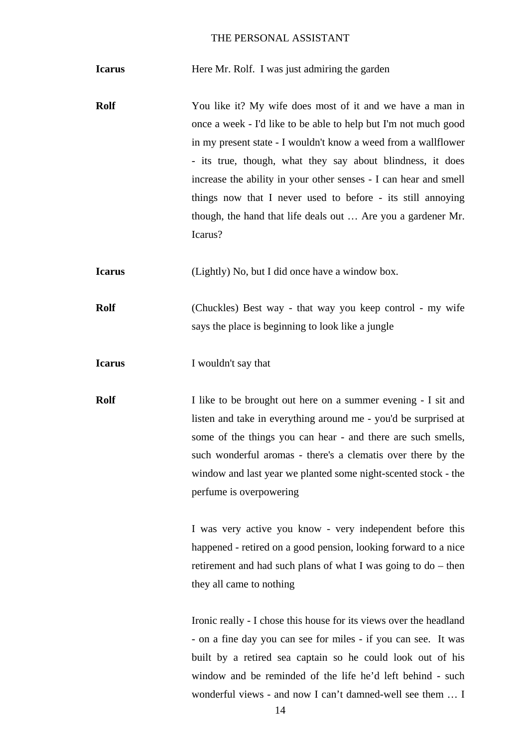**Icarus** Here Mr. Rolf. I was just admiring the garden

**Rolf** You like it? My wife does most of it and we have a man in once a week - I'd like to be able to help but I'm not much good in my present state - I wouldn't know a weed from a wallflower - its true, though, what they say about blindness, it does increase the ability in your other senses - I can hear and smell things now that I never used to before - its still annoying though, the hand that life deals out … Are you a gardener Mr. Icarus?

**Icarus** (Lightly) No, but I did once have a window box.

**Rolf** (Chuckles) Best way - that way you keep control - my wife says the place is beginning to look like a jungle

**Icarus** I wouldn't say that

**Rolf** I like to be brought out here on a summer evening - I sit and listen and take in everything around me - you'd be surprised at some of the things you can hear - and there are such smells, such wonderful aromas - there's a clematis over there by the window and last year we planted some night-scented stock - the perfume is overpowering

> I was very active you know - very independent before this happened - retired on a good pension, looking forward to a nice retirement and had such plans of what I was going to do – then they all came to nothing

> Ironic really - I chose this house for its views over the headland - on a fine day you can see for miles - if you can see. It was built by a retired sea captain so he could look out of his window and be reminded of the life he'd left behind - such wonderful views - and now I can't damned-well see them … I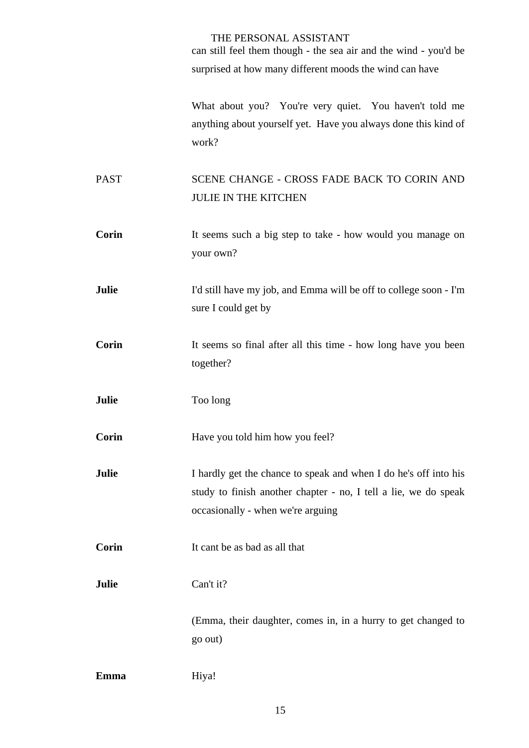can still feel them though - the sea air and the wind - you'd be surprised at how many different moods the wind can have

What about you? You're very quiet. You haven't told me anything about yourself yet. Have you always done this kind of work?

PAST SCENE CHANGE - CROSS FADE BACK TO CORIN AND JULIE IN THE KITCHEN

- **Corin** It seems such a big step to take how would you manage on your own?
- **Julie** I'd still have my job, and Emma will be off to college soon I'm sure I could get by
- **Corin** It seems so final after all this time how long have you been together?
- **Julie** Too long

**Corin** Have you told him how you feel?

**Julie** I hardly get the chance to speak and when I do he's off into his study to finish another chapter - no, I tell a lie, we do speak occasionally - when we're arguing

**Corin** It cant be as bad as all that

**Julie** Can't it?

(Emma, their daughter, comes in, in a hurry to get changed to go out)

**Emma** Hiya!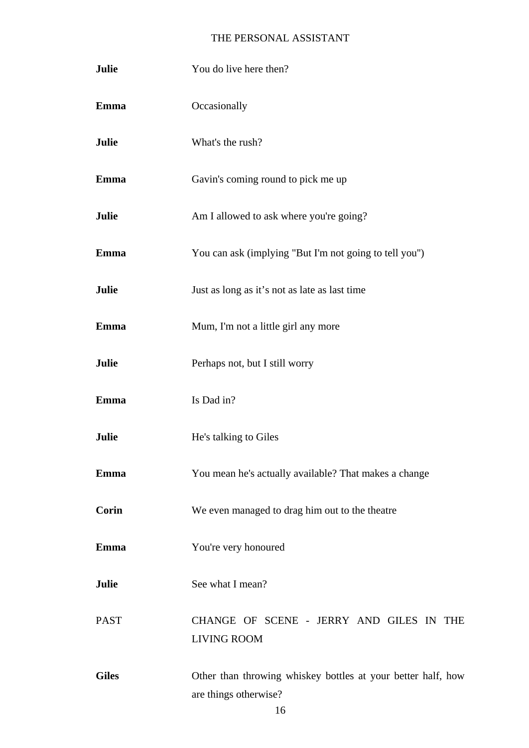| Julie        | You do live here then?                                                                |
|--------------|---------------------------------------------------------------------------------------|
| Emma         | Occasionally                                                                          |
| Julie        | What's the rush?                                                                      |
| <b>Emma</b>  | Gavin's coming round to pick me up                                                    |
| Julie        | Am I allowed to ask where you're going?                                               |
| <b>Emma</b>  | You can ask (implying "But I'm not going to tell you")                                |
| Julie        | Just as long as it's not as late as last time                                         |
| <b>Emma</b>  | Mum, I'm not a little girl any more                                                   |
| Julie        | Perhaps not, but I still worry                                                        |
| <b>Emma</b>  | Is Dad in?                                                                            |
| Julie        | He's talking to Giles                                                                 |
| Emma         | You mean he's actually available? That makes a change                                 |
| <b>Corin</b> | We even managed to drag him out to the theatre                                        |
| Emma         | You're very honoured                                                                  |
| Julie        | See what I mean?                                                                      |
| <b>PAST</b>  | CHANGE OF SCENE - JERRY AND GILES IN THE<br><b>LIVING ROOM</b>                        |
| <b>Giles</b> | Other than throwing whiskey bottles at your better half, how<br>are things otherwise? |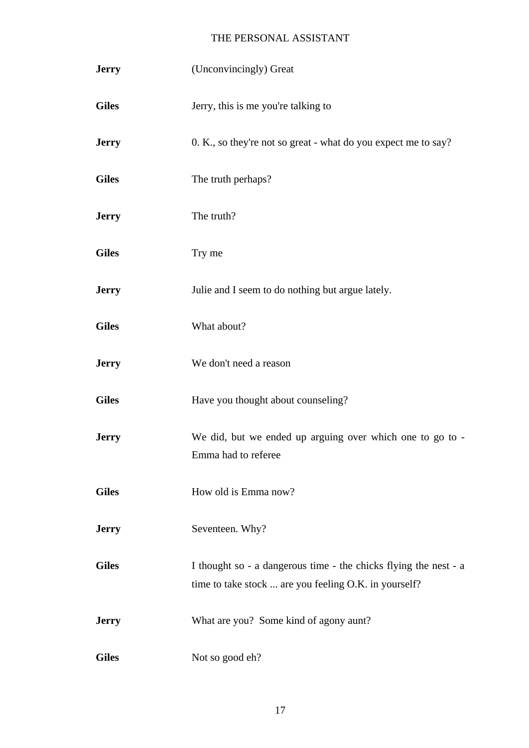| <b>Jerry</b> | (Unconvincingly) Great                                                                                                    |
|--------------|---------------------------------------------------------------------------------------------------------------------------|
| <b>Giles</b> | Jerry, this is me you're talking to                                                                                       |
| <b>Jerry</b> | 0. K., so they're not so great - what do you expect me to say?                                                            |
| <b>Giles</b> | The truth perhaps?                                                                                                        |
| <b>Jerry</b> | The truth?                                                                                                                |
| <b>Giles</b> | Try me                                                                                                                    |
| <b>Jerry</b> | Julie and I seem to do nothing but argue lately.                                                                          |
| <b>Giles</b> | What about?                                                                                                               |
| <b>Jerry</b> | We don't need a reason                                                                                                    |
| <b>Giles</b> | Have you thought about counseling?                                                                                        |
| <b>Jerry</b> | We did, but we ended up arguing over which one to go to -<br>Emma had to referee                                          |
| <b>Giles</b> | How old is Emma now?                                                                                                      |
| <b>Jerry</b> | Seventeen. Why?                                                                                                           |
| <b>Giles</b> | I thought so - a dangerous time - the chicks flying the nest - a<br>time to take stock  are you feeling O.K. in yourself? |
| <b>Jerry</b> | What are you? Some kind of agony aunt?                                                                                    |
| <b>Giles</b> | Not so good eh?                                                                                                           |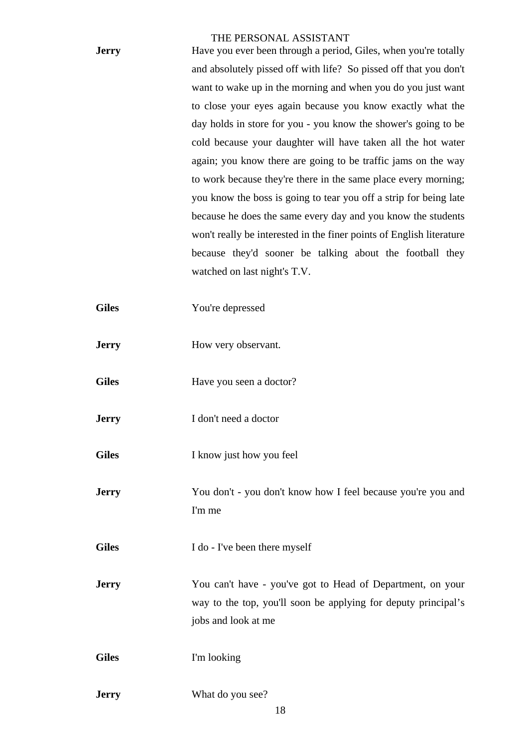| <b>Jerry</b> | Have you ever been through a period, Giles, when you're totally      |
|--------------|----------------------------------------------------------------------|
|              | and absolutely pissed off with life? So pissed off that you don't    |
|              | want to wake up in the morning and when you do you just want         |
|              | to close your eyes again because you know exactly what the           |
|              | day holds in store for you - you know the shower's going to be       |
|              | cold because your daughter will have taken all the hot water         |
|              | again; you know there are going to be traffic jams on the way        |
|              | to work because they're there in the same place every morning;       |
|              | you know the boss is going to tear you off a strip for being late    |
|              | because he does the same every day and you know the students         |
|              | won't really be interested in the finer points of English literature |
|              | because they'd sooner be talking about the football they             |
|              | watched on last night's T.V.                                         |
|              |                                                                      |
| <b>Giles</b> | You're depressed                                                     |
|              |                                                                      |
| <b>Jerry</b> | How very observant.                                                  |
|              |                                                                      |
| <b>Giles</b> | Have you seen a doctor?                                              |
|              |                                                                      |
| <b>Jerry</b> | I don't need a doctor                                                |
|              |                                                                      |
| <b>Giles</b> | I know just how you feel                                             |
|              |                                                                      |

**Jerry** You don't - you don't know how I feel because you're you and I'm me

Giles I do - I've been there myself

**Jerry** You can't have - you've got to Head of Department, on your way to the top, you'll soon be applying for deputy principal's jobs and look at me

Giles I'm looking

**Jerry** What do you see?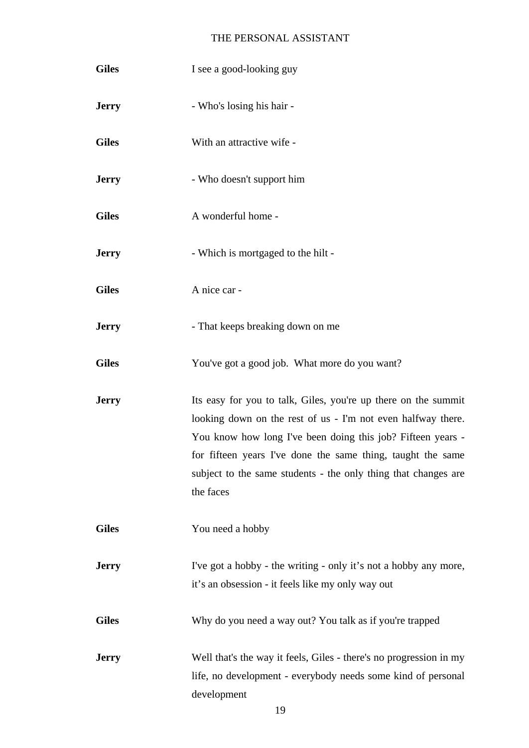| <b>Giles</b> | I see a good-looking guy                                                                                                                                                                                                                                                                                                                    |
|--------------|---------------------------------------------------------------------------------------------------------------------------------------------------------------------------------------------------------------------------------------------------------------------------------------------------------------------------------------------|
| <b>Jerry</b> | - Who's losing his hair -                                                                                                                                                                                                                                                                                                                   |
| <b>Giles</b> | With an attractive wife -                                                                                                                                                                                                                                                                                                                   |
| <b>Jerry</b> | - Who doesn't support him                                                                                                                                                                                                                                                                                                                   |
| <b>Giles</b> | A wonderful home -                                                                                                                                                                                                                                                                                                                          |
| <b>Jerry</b> | - Which is mortgaged to the hilt -                                                                                                                                                                                                                                                                                                          |
| <b>Giles</b> | A nice car -                                                                                                                                                                                                                                                                                                                                |
| <b>Jerry</b> | - That keeps breaking down on me                                                                                                                                                                                                                                                                                                            |
| <b>Giles</b> | You've got a good job. What more do you want?                                                                                                                                                                                                                                                                                               |
| <b>Jerry</b> | Its easy for you to talk, Giles, you're up there on the summit<br>looking down on the rest of us - I'm not even halfway there.<br>You know how long I've been doing this job? Fifteen years -<br>for fifteen years I've done the same thing, taught the same<br>subject to the same students - the only thing that changes are<br>the faces |
| <b>Giles</b> | You need a hobby                                                                                                                                                                                                                                                                                                                            |
| <b>Jerry</b> | I've got a hobby - the writing - only it's not a hobby any more,<br>it's an obsession - it feels like my only way out                                                                                                                                                                                                                       |
| <b>Giles</b> | Why do you need a way out? You talk as if you're trapped                                                                                                                                                                                                                                                                                    |
| <b>Jerry</b> | Well that's the way it feels, Giles - there's no progression in my<br>life, no development - everybody needs some kind of personal<br>development                                                                                                                                                                                           |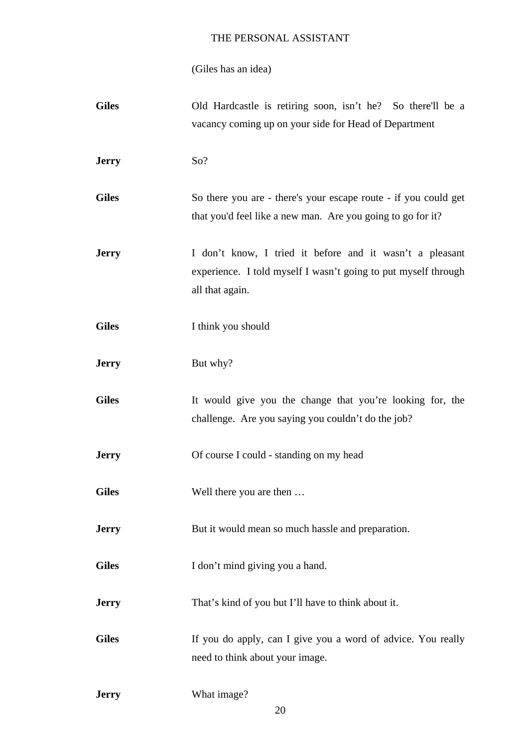(Giles has an idea)

| <b>Giles</b> | Old Hardcastle is retiring soon, isn't he? So there'll be a<br>vacancy coming up on your side for Head of Department                          |
|--------------|-----------------------------------------------------------------------------------------------------------------------------------------------|
| <b>Jerry</b> | So?                                                                                                                                           |
| <b>Giles</b> | So there you are - there's your escape route - if you could get<br>that you'd feel like a new man. Are you going to go for it?                |
| <b>Jerry</b> | I don't know, I tried it before and it wasn't a pleasant<br>experience. I told myself I wasn't going to put myself through<br>all that again. |
| <b>Giles</b> | I think you should                                                                                                                            |
| <b>Jerry</b> | But why?                                                                                                                                      |
| <b>Giles</b> | It would give you the change that you're looking for, the<br>challenge. Are you saying you couldn't do the job?                               |
| <b>Jerry</b> | Of course I could - standing on my head                                                                                                       |
| <b>Giles</b> | Well there you are then                                                                                                                       |
| <b>Jerry</b> | But it would mean so much has le and preparation.                                                                                             |
| <b>Giles</b> | I don't mind giving you a hand.                                                                                                               |
| <b>Jerry</b> | That's kind of you but I'll have to think about it.                                                                                           |
| <b>Giles</b> | If you do apply, can I give you a word of advice. You really<br>need to think about your image.                                               |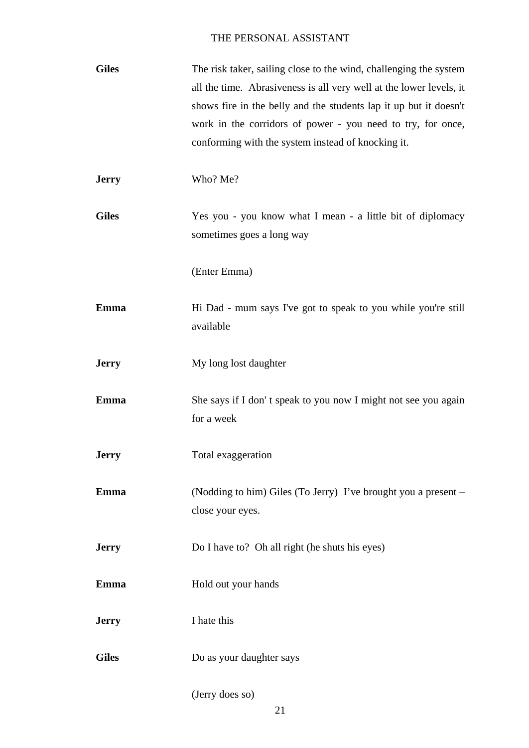| <b>Giles</b> | The risk taker, sailing close to the wind, challenging the system<br>all the time. Abrasiveness is all very well at the lower levels, it<br>shows fire in the belly and the students lap it up but it doesn't<br>work in the corridors of power - you need to try, for once,<br>conforming with the system instead of knocking it. |
|--------------|------------------------------------------------------------------------------------------------------------------------------------------------------------------------------------------------------------------------------------------------------------------------------------------------------------------------------------|
| <b>Jerry</b> | Who? Me?                                                                                                                                                                                                                                                                                                                           |
| <b>Giles</b> | Yes you - you know what I mean - a little bit of diplomacy<br>sometimes goes a long way                                                                                                                                                                                                                                            |
|              | (Enter Emma)                                                                                                                                                                                                                                                                                                                       |
| <b>Emma</b>  | Hi Dad - mum says I've got to speak to you while you're still<br>available                                                                                                                                                                                                                                                         |
| <b>Jerry</b> | My long lost daughter                                                                                                                                                                                                                                                                                                              |
| <b>Emma</b>  | She says if I don't speak to you now I might not see you again<br>for a week                                                                                                                                                                                                                                                       |
| <b>Jerry</b> | Total exaggeration                                                                                                                                                                                                                                                                                                                 |
| <b>Emma</b>  | (Nodding to him) Giles (To Jerry) I've brought you a present –<br>close your eyes.                                                                                                                                                                                                                                                 |
| <b>Jerry</b> | Do I have to? Oh all right (he shuts his eyes)                                                                                                                                                                                                                                                                                     |
| Emma         | Hold out your hands                                                                                                                                                                                                                                                                                                                |
| <b>Jerry</b> | I hate this                                                                                                                                                                                                                                                                                                                        |
| <b>Giles</b> | Do as your daughter says                                                                                                                                                                                                                                                                                                           |

(Jerry does so)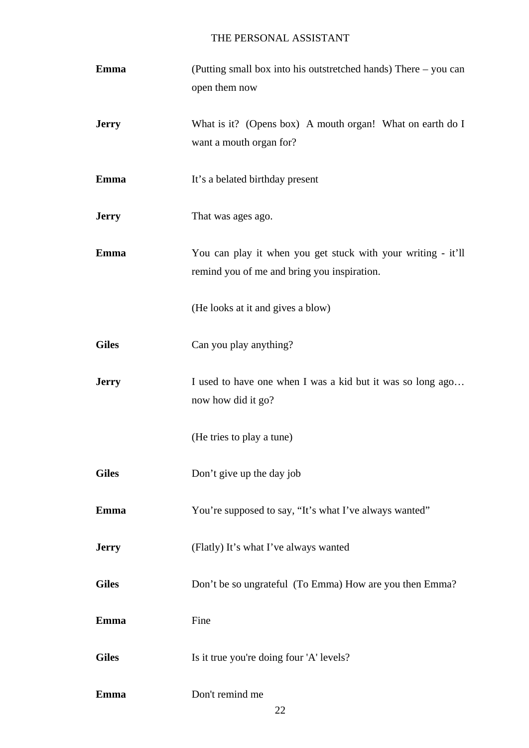| Emma         | (Putting small box into his outstretched hands) There – you can<br>open them now                            |
|--------------|-------------------------------------------------------------------------------------------------------------|
| <b>Jerry</b> | What is it? (Opens box) A mouth organ! What on earth do I<br>want a mouth organ for?                        |
| <b>Emma</b>  | It's a belated birthday present                                                                             |
| <b>Jerry</b> | That was ages ago.                                                                                          |
| Emma         | You can play it when you get stuck with your writing - it'll<br>remind you of me and bring you inspiration. |
|              | (He looks at it and gives a blow)                                                                           |
| <b>Giles</b> | Can you play anything?                                                                                      |
| <b>Jerry</b> | I used to have one when I was a kid but it was so long ago<br>now how did it go?                            |
|              | (He tries to play a tune)                                                                                   |
| <b>Giles</b> | Don't give up the day job                                                                                   |
| Emma         | You're supposed to say, "It's what I've always wanted"                                                      |
| <b>Jerry</b> | (Flatly) It's what I've always wanted                                                                       |
| <b>Giles</b> | Don't be so ungrateful (To Emma) How are you then Emma?                                                     |
| <b>Emma</b>  | Fine                                                                                                        |
| <b>Giles</b> | Is it true you're doing four 'A' levels?                                                                    |
| <b>Emma</b>  | Don't remind me                                                                                             |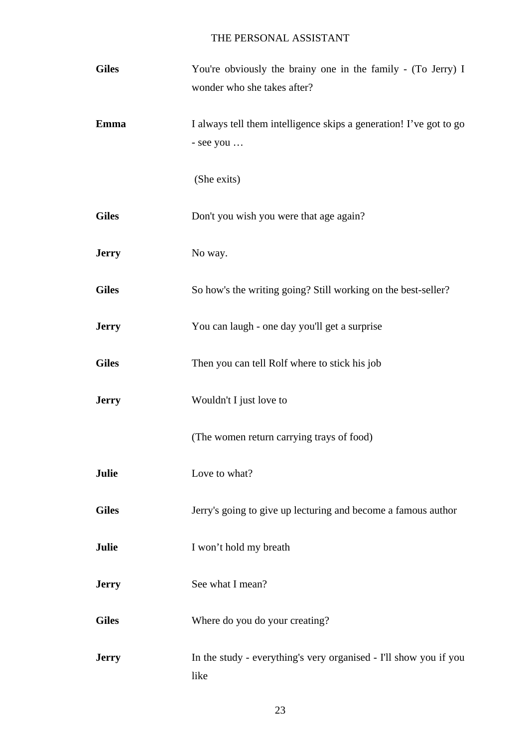| <b>Giles</b> | You're obviously the brainy one in the family - (To Jerry) I<br>wonder who she takes after? |
|--------------|---------------------------------------------------------------------------------------------|
| Emma         | I always tell them intelligence skips a generation! I've got to go<br>- see you             |
|              | (She exits)                                                                                 |
| <b>Giles</b> | Don't you wish you were that age again?                                                     |
| <b>Jerry</b> | No way.                                                                                     |
| <b>Giles</b> | So how's the writing going? Still working on the best-seller?                               |
| <b>Jerry</b> | You can laugh - one day you'll get a surprise                                               |
| <b>Giles</b> | Then you can tell Rolf where to stick his job                                               |
| <b>Jerry</b> | Wouldn't I just love to                                                                     |
|              | (The women return carrying trays of food)                                                   |
| Julie        | Love to what?                                                                               |
| <b>Giles</b> | Jerry's going to give up lecturing and become a famous author                               |
| Julie        | I won't hold my breath                                                                      |
| <b>Jerry</b> | See what I mean?                                                                            |
| <b>Giles</b> | Where do you do your creating?                                                              |
| <b>Jerry</b> | In the study - everything's very organised - I'll show you if you<br>like                   |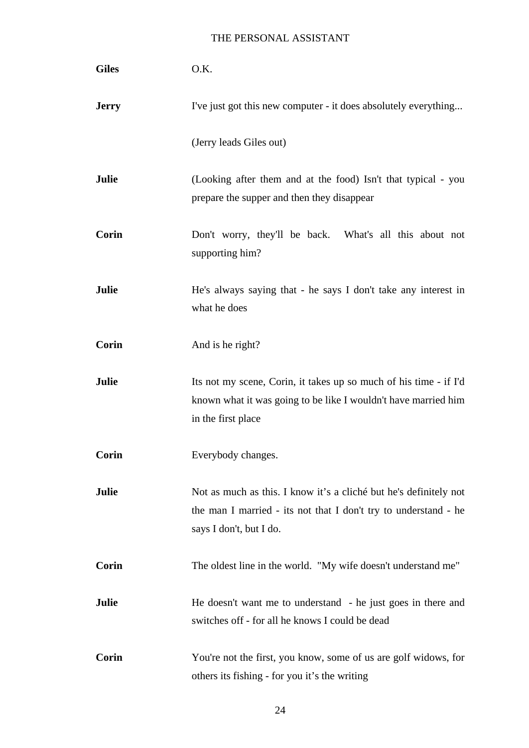| <b>Giles</b> | O.K.                                                                                                                                                            |
|--------------|-----------------------------------------------------------------------------------------------------------------------------------------------------------------|
| <b>Jerry</b> | I've just got this new computer - it does absolutely everything                                                                                                 |
|              | (Jerry leads Giles out)                                                                                                                                         |
| Julie        | (Looking after them and at the food) Isn't that typical - you<br>prepare the supper and then they disappear                                                     |
| Corin        | Don't worry, they'll be back. What's all this about not<br>supporting him?                                                                                      |
| Julie        | He's always saying that - he says I don't take any interest in<br>what he does                                                                                  |
| Corin        | And is he right?                                                                                                                                                |
| Julie        | Its not my scene, Corin, it takes up so much of his time - if I'd<br>known what it was going to be like I wouldn't have married him<br>in the first place       |
| Corin        | Everybody changes.                                                                                                                                              |
| Julie        | Not as much as this. I know it's a cliché but he's definitely not<br>the man I married - its not that I don't try to understand - he<br>says I don't, but I do. |
| Corin        | The oldest line in the world. "My wife doesn't understand me"                                                                                                   |
| Julie        | He doesn't want me to understand - he just goes in there and<br>switches off - for all he knows I could be dead                                                 |
| Corin        | You're not the first, you know, some of us are golf widows, for<br>others its fishing - for you it's the writing                                                |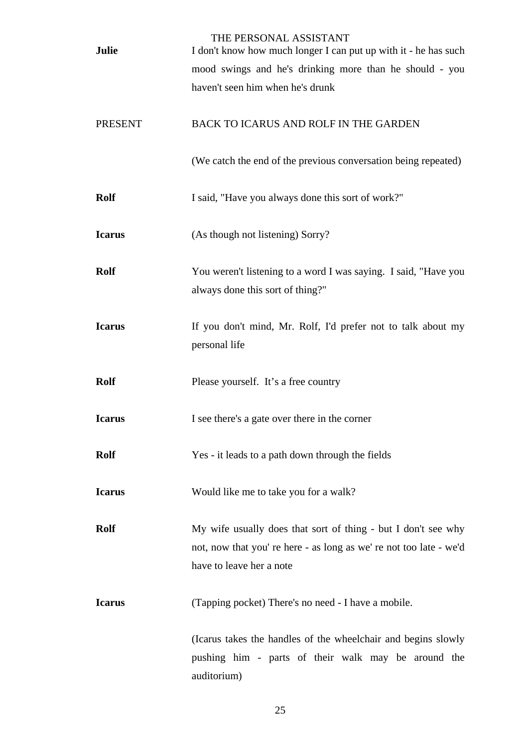| <b>Julie</b>   | THE PERSONAL ASSISTANT<br>I don't know how much longer I can put up with it - he has such                                                                     |
|----------------|---------------------------------------------------------------------------------------------------------------------------------------------------------------|
|                | mood swings and he's drinking more than he should - you                                                                                                       |
|                | haven't seen him when he's drunk                                                                                                                              |
| <b>PRESENT</b> | <b>BACK TO ICARUS AND ROLF IN THE GARDEN</b>                                                                                                                  |
|                | (We catch the end of the previous conversation being repeated)                                                                                                |
| <b>Rolf</b>    | I said, "Have you always done this sort of work?"                                                                                                             |
| <b>Icarus</b>  | (As though not listening) Sorry?                                                                                                                              |
| <b>Rolf</b>    | You weren't listening to a word I was saying. I said, "Have you<br>always done this sort of thing?"                                                           |
| <b>Icarus</b>  | If you don't mind, Mr. Rolf, I'd prefer not to talk about my<br>personal life                                                                                 |
| <b>Rolf</b>    | Please yourself. It's a free country                                                                                                                          |
| <b>Icarus</b>  | I see there's a gate over there in the corner                                                                                                                 |
| <b>Rolf</b>    | Yes - it leads to a path down through the fields                                                                                                              |
| <b>Icarus</b>  | Would like me to take you for a walk?                                                                                                                         |
| <b>Rolf</b>    | My wife usually does that sort of thing - but I don't see why<br>not, now that you're here - as long as we're not too late - we'd<br>have to leave her a note |
| <b>Icarus</b>  | (Tapping pocket) There's no need - I have a mobile.                                                                                                           |
|                | (Icarus takes the handles of the wheelchair and begins slowly<br>pushing him - parts of their walk may be around the<br>auditorium)                           |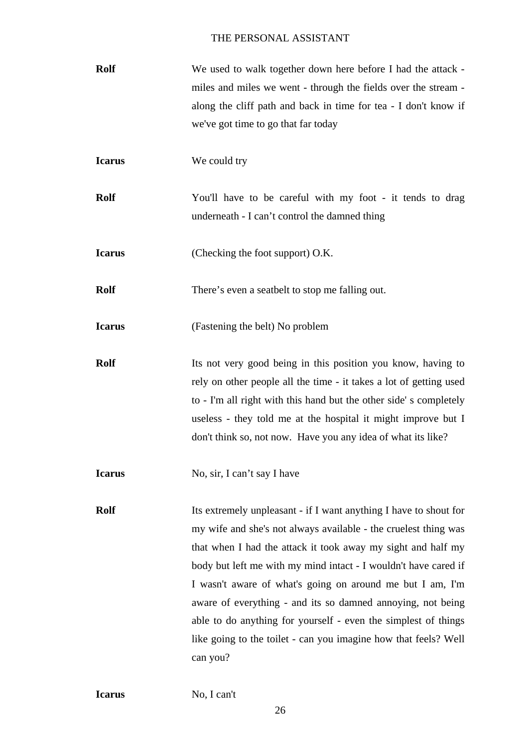| <b>Rolf</b> | We used to walk together down here before I had the attack -    |
|-------------|-----------------------------------------------------------------|
|             | miles and miles we went - through the fields over the stream -  |
|             | along the cliff path and back in time for tea - I don't know if |
|             | we've got time to go that far today                             |

**Icarus** We could try

**Rolf** You'll have to be careful with my foot - it tends to drag underneath - I can't control the damned thing

**Icarus** (Checking the foot support) O.K.

**Rolf** There's even a seatbelt to stop me falling out.

**Icarus** (Fastening the belt) No problem

**Rolf** Its not very good being in this position you know, having to rely on other people all the time - it takes a lot of getting used to - I'm all right with this hand but the other side' s completely useless - they told me at the hospital it might improve but I don't think so, not now. Have you any idea of what its like?

**Icarus** No, sir, I can't say I have

**Rolf** Its extremely unpleasant - if I want anything I have to shout for my wife and she's not always available - the cruelest thing was that when I had the attack it took away my sight and half my body but left me with my mind intact - I wouldn't have cared if I wasn't aware of what's going on around me but I am, I'm aware of everything - and its so damned annoying, not being able to do anything for yourself - even the simplest of things like going to the toilet - can you imagine how that feels? Well can you?

No, I can't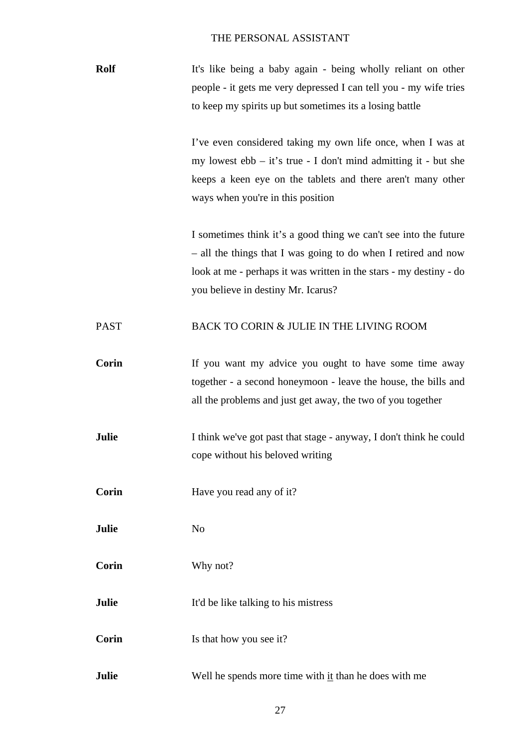| <b>Rolf</b> | It's like being a baby again - being wholly reliant on other      |
|-------------|-------------------------------------------------------------------|
|             | people - it gets me very depressed I can tell you - my wife tries |
|             | to keep my spirits up but sometimes its a losing battle           |

I've even considered taking my own life once, when I was at my lowest ebb – it's true - I don't mind admitting it - but she keeps a keen eye on the tablets and there aren't many other ways when you're in this position

I sometimes think it's a good thing we can't see into the future – all the things that I was going to do when I retired and now look at me - perhaps it was written in the stars - my destiny - do you believe in destiny Mr. Icarus?

### PAST BACK TO CORIN & JULIE IN THE LIVING ROOM

**Corin** If you want my advice you ought to have some time away together - a second honeymoon - leave the house, the bills and all the problems and just get away, the two of you together

**Julie** I think we've got past that stage - anyway, I don't think he could cope without his beloved writing

**Corin** Have you read any of it?

**Julie** No

**Corin** Why not?

**Julie** It'd be like talking to his mistress

**Corin** Is that how you see it?

**Julie** Well he spends more time with it than he does with me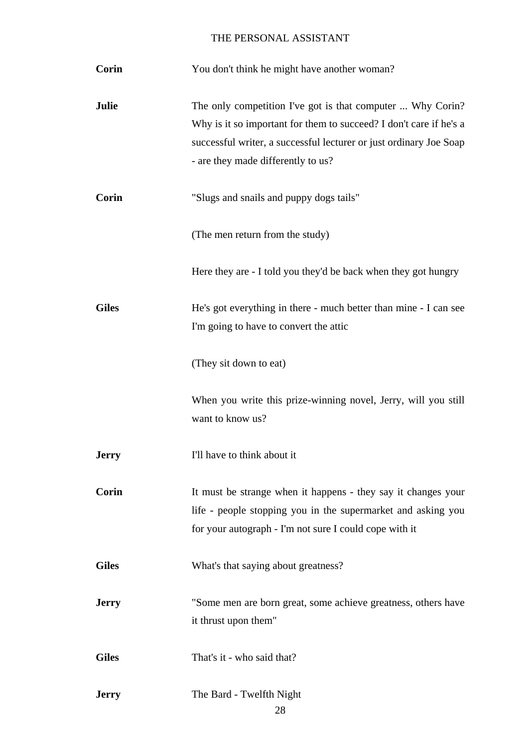| Corin        | You don't think he might have another woman?                                                                                                                                                                                                 |
|--------------|----------------------------------------------------------------------------------------------------------------------------------------------------------------------------------------------------------------------------------------------|
| <b>Julie</b> | The only competition I've got is that computer  Why Corin?<br>Why is it so important for them to succeed? I don't care if he's a<br>successful writer, a successful lecturer or just ordinary Joe Soap<br>- are they made differently to us? |
| Corin        | "Slugs and snails and puppy dogs tails"                                                                                                                                                                                                      |
|              | (The men return from the study)                                                                                                                                                                                                              |
|              | Here they are - I told you they'd be back when they got hungry                                                                                                                                                                               |
| <b>Giles</b> | He's got everything in there - much better than mine - I can see<br>I'm going to have to convert the attic                                                                                                                                   |
|              | (They sit down to eat)                                                                                                                                                                                                                       |
|              | When you write this prize-winning novel, Jerry, will you still<br>want to know us?                                                                                                                                                           |
| <b>Jerry</b> | I'll have to think about it                                                                                                                                                                                                                  |
| Corin        | It must be strange when it happens - they say it changes your<br>life - people stopping you in the supermarket and asking you<br>for your autograph - I'm not sure I could cope with it                                                      |
| <b>Giles</b> | What's that saying about greatness?                                                                                                                                                                                                          |
| <b>Jerry</b> | "Some men are born great, some achieve greatness, others have<br>it thrust upon them"                                                                                                                                                        |
| <b>Giles</b> | That's it - who said that?                                                                                                                                                                                                                   |
| <b>Jerry</b> | The Bard - Twelfth Night<br>28                                                                                                                                                                                                               |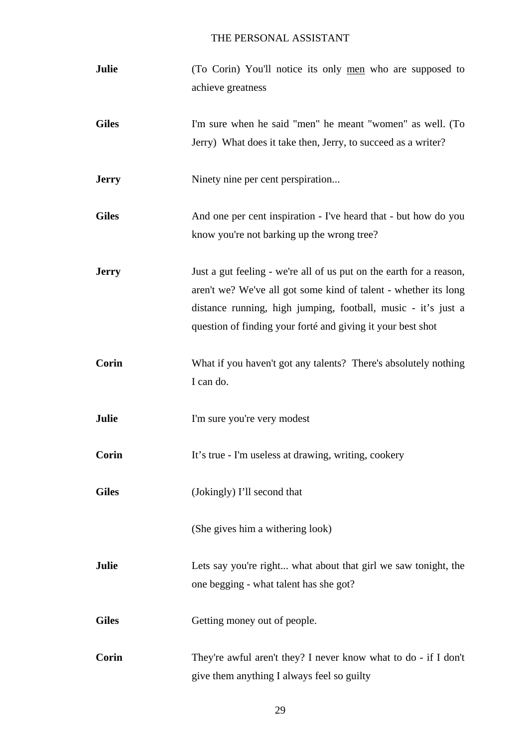| Julie        | (To Corin) You'll notice its only men who are supposed to<br>achieve greatness                                                                                                                                                                                         |
|--------------|------------------------------------------------------------------------------------------------------------------------------------------------------------------------------------------------------------------------------------------------------------------------|
| <b>Giles</b> | I'm sure when he said "men" he meant "women" as well. (To<br>Jerry) What does it take then, Jerry, to succeed as a writer?                                                                                                                                             |
| <b>Jerry</b> | Ninety nine per cent perspiration                                                                                                                                                                                                                                      |
| <b>Giles</b> | And one per cent inspiration - I've heard that - but how do you<br>know you're not barking up the wrong tree?                                                                                                                                                          |
| <b>Jerry</b> | Just a gut feeling - we're all of us put on the earth for a reason,<br>aren't we? We've all got some kind of talent - whether its long<br>distance running, high jumping, football, music - it's just a<br>question of finding your forté and giving it your best shot |
| Corin        | What if you haven't got any talents? There's absolutely nothing<br>I can do.                                                                                                                                                                                           |
| Julie        | I'm sure you're very modest                                                                                                                                                                                                                                            |
| Corin        | It's true - I'm useless at drawing, writing, cookery                                                                                                                                                                                                                   |
| <b>Giles</b> | (Jokingly) I'll second that                                                                                                                                                                                                                                            |
|              | (She gives him a withering look)                                                                                                                                                                                                                                       |
| Julie        | Lets say you're right what about that girl we saw tonight, the<br>one begging - what talent has she got?                                                                                                                                                               |
| <b>Giles</b> | Getting money out of people.                                                                                                                                                                                                                                           |
| Corin        | They're awful aren't they? I never know what to do - if I don't<br>give them anything I always feel so guilty                                                                                                                                                          |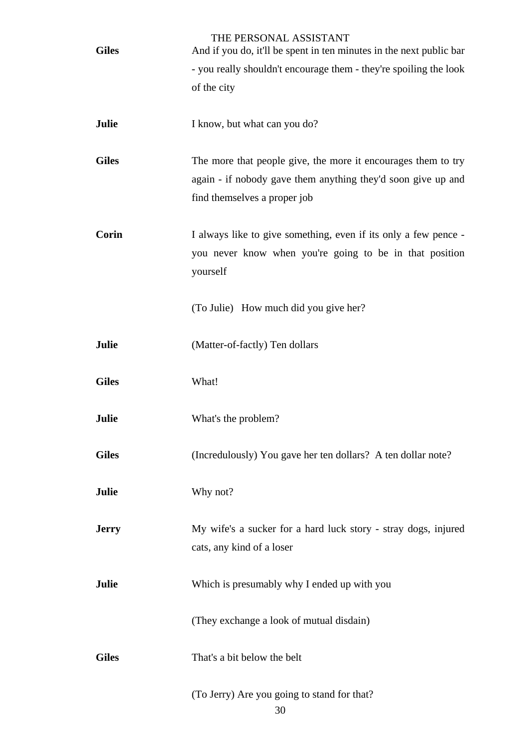| <b>Giles</b> | THE PERSONAL ASSISTANT<br>And if you do, it'll be spent in ten minutes in the next public bar |
|--------------|-----------------------------------------------------------------------------------------------|
|              | - you really shouldn't encourage them - they're spoiling the look                             |
|              | of the city                                                                                   |
|              |                                                                                               |
| Julie        | I know, but what can you do?                                                                  |
| <b>Giles</b> | The more that people give, the more it encourages them to try                                 |
|              | again - if nobody gave them anything they'd soon give up and                                  |
|              | find themselves a proper job                                                                  |
|              |                                                                                               |
| Corin        | I always like to give something, even if its only a few pence -                               |
|              | you never know when you're going to be in that position                                       |
|              | yourself                                                                                      |
|              | (To Julie) How much did you give her?                                                         |
|              |                                                                                               |
| Julie        | (Matter-of-factly) Ten dollars                                                                |
|              |                                                                                               |
| <b>Giles</b> | What!                                                                                         |
| <b>Julie</b> | What's the problem?                                                                           |
|              |                                                                                               |
| <b>Giles</b> | (Incredulously) You gave her ten dollars? A ten dollar note?                                  |
|              |                                                                                               |
| Julie        | Why not?                                                                                      |
| <b>Jerry</b> | My wife's a sucker for a hard luck story - stray dogs, injured                                |
|              | cats, any kind of a loser                                                                     |
|              |                                                                                               |
| Julie        | Which is presumably why I ended up with you                                                   |
|              | (They exchange a look of mutual disdain)                                                      |
|              |                                                                                               |
| <b>Giles</b> | That's a bit below the belt                                                                   |
|              |                                                                                               |
|              | (To Jerry) Are you going to stand for that?<br>30                                             |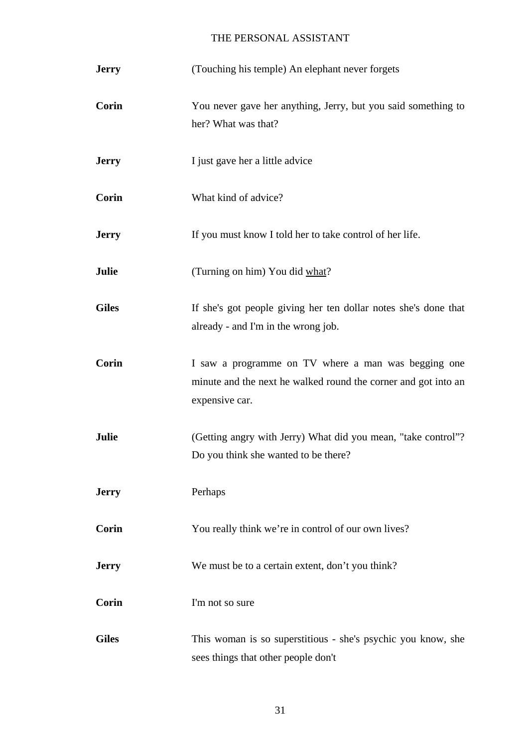| <b>Jerry</b> | (Touching his temple) An elephant never forgets                                                                                         |
|--------------|-----------------------------------------------------------------------------------------------------------------------------------------|
| <b>Corin</b> | You never gave her anything, Jerry, but you said something to<br>her? What was that?                                                    |
| <b>Jerry</b> | I just gave her a little advice                                                                                                         |
| <b>Corin</b> | What kind of advice?                                                                                                                    |
| <b>Jerry</b> | If you must know I told her to take control of her life.                                                                                |
| Julie        | (Turning on him) You did what?                                                                                                          |
| <b>Giles</b> | If she's got people giving her ten dollar notes she's done that<br>already - and I'm in the wrong job.                                  |
| Corin        | I saw a programme on TV where a man was begging one<br>minute and the next he walked round the corner and got into an<br>expensive car. |
| Julie        | (Getting angry with Jerry) What did you mean, "take control"?<br>Do you think she wanted to be there?                                   |
| <b>Jerry</b> | Perhaps                                                                                                                                 |
| Corin        | You really think we're in control of our own lives?                                                                                     |
| <b>Jerry</b> | We must be to a certain extent, don't you think?                                                                                        |
| Corin        | I'm not so sure                                                                                                                         |
| <b>Giles</b> | This woman is so superstitious - she's psychic you know, she<br>sees things that other people don't                                     |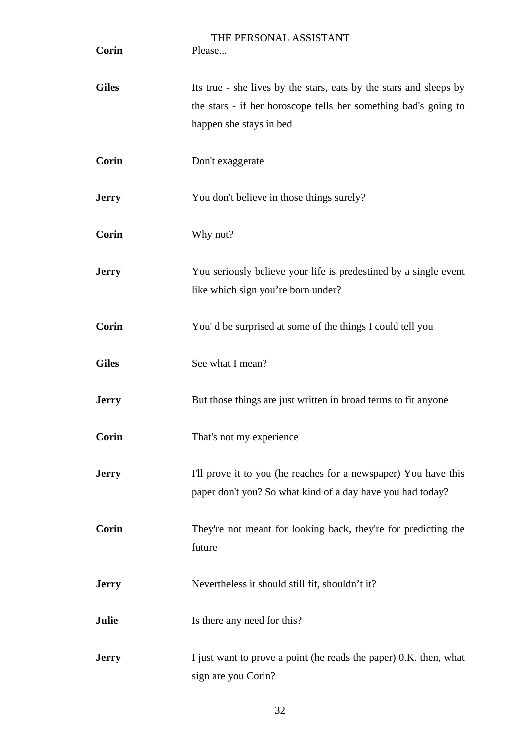| Corin        | THE PERSONAL ASSISTANT<br>Please                                                                                                                                 |
|--------------|------------------------------------------------------------------------------------------------------------------------------------------------------------------|
| <b>Giles</b> | Its true - she lives by the stars, eats by the stars and sleeps by<br>the stars - if her horoscope tells her something bad's going to<br>happen she stays in bed |
| <b>Corin</b> | Don't exaggerate                                                                                                                                                 |
| <b>Jerry</b> | You don't believe in those things surely?                                                                                                                        |
| Corin        | Why not?                                                                                                                                                         |
| <b>Jerry</b> | You seriously believe your life is predestined by a single event<br>like which sign you're born under?                                                           |
| <b>Corin</b> | You'd be surprised at some of the things I could tell you                                                                                                        |
| <b>Giles</b> | See what I mean?                                                                                                                                                 |
| <b>Jerry</b> | But those things are just written in broad terms to fit anyone                                                                                                   |
| <b>Corin</b> | That's not my experience                                                                                                                                         |
| <b>Jerry</b> | I'll prove it to you (he reaches for a newspaper) You have this<br>paper don't you? So what kind of a day have you had today?                                    |
| Corin        | They're not meant for looking back, they're for predicting the<br>future                                                                                         |
| <b>Jerry</b> | Nevertheless it should still fit, shouldn't it?                                                                                                                  |
| Julie        | Is there any need for this?                                                                                                                                      |
| <b>Jerry</b> | I just want to prove a point (he reads the paper) 0.K. then, what<br>sign are you Corin?                                                                         |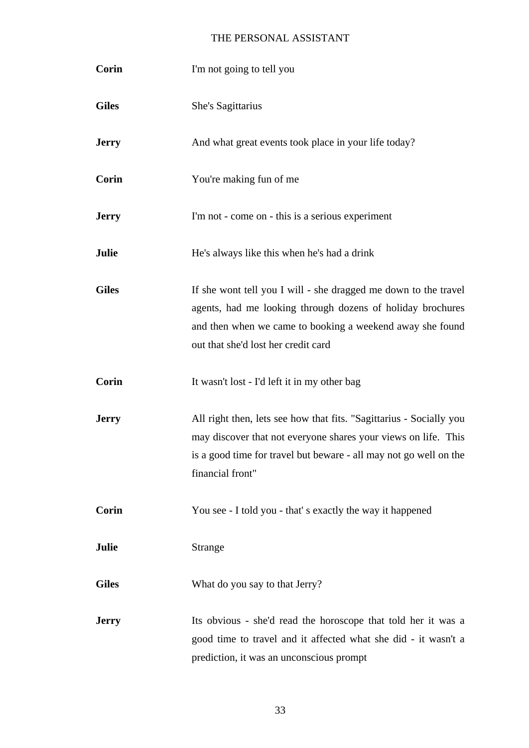| <b>Corin</b> | I'm not going to tell you                                                                                                                                                                                                         |
|--------------|-----------------------------------------------------------------------------------------------------------------------------------------------------------------------------------------------------------------------------------|
| <b>Giles</b> | She's Sagittarius                                                                                                                                                                                                                 |
| <b>Jerry</b> | And what great events took place in your life today?                                                                                                                                                                              |
| <b>Corin</b> | You're making fun of me                                                                                                                                                                                                           |
| <b>Jerry</b> | I'm not - come on - this is a serious experiment                                                                                                                                                                                  |
| Julie        | He's always like this when he's had a drink                                                                                                                                                                                       |
| <b>Giles</b> | If she wont tell you I will - she dragged me down to the travel<br>agents, had me looking through dozens of holiday brochures<br>and then when we came to booking a weekend away she found<br>out that she'd lost her credit card |
| <b>Corin</b> | It wasn't lost - I'd left it in my other bag                                                                                                                                                                                      |
| <b>Jerry</b> | All right then, lets see how that fits. "Sagittarius - Socially you<br>may discover that not everyone shares your views on life. This<br>is a good time for travel but beware - all may not go well on the<br>financial front"    |
| Corin        | You see - I told you - that's exactly the way it happened                                                                                                                                                                         |
| Julie        | Strange                                                                                                                                                                                                                           |
| <b>Giles</b> | What do you say to that Jerry?                                                                                                                                                                                                    |
| <b>Jerry</b> | Its obvious - she'd read the horoscope that told her it was a<br>good time to travel and it affected what she did - it wasn't a<br>prediction, it was an unconscious prompt                                                       |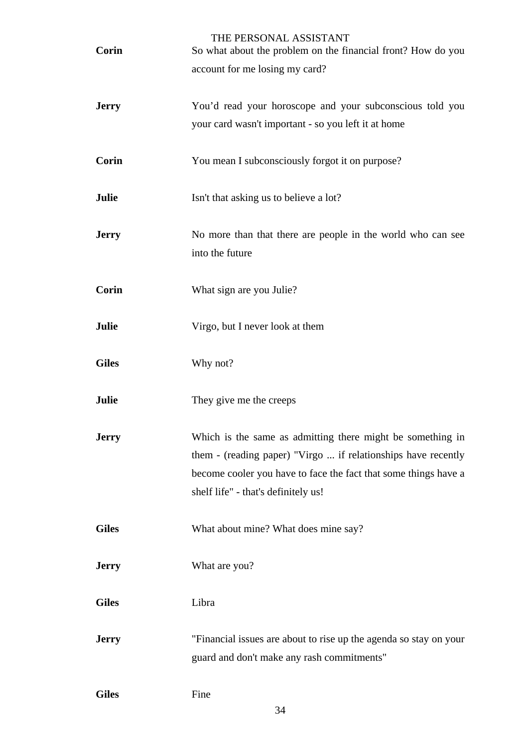| <b>Corin</b> | THE PERSONAL ASSISTANT<br>So what about the problem on the financial front? How do you                 |
|--------------|--------------------------------------------------------------------------------------------------------|
|              | account for me losing my card?                                                                         |
|              |                                                                                                        |
| <b>Jerry</b> | You'd read your horoscope and your subconscious told you                                               |
|              | your card wasn't important - so you left it at home                                                    |
| <b>Corin</b> | You mean I subconsciously forgot it on purpose?                                                        |
|              |                                                                                                        |
| Julie        | Isn't that asking us to believe a lot?                                                                 |
| <b>Jerry</b> | No more than that there are people in the world who can see                                            |
|              | into the future                                                                                        |
|              |                                                                                                        |
| Corin        | What sign are you Julie?                                                                               |
| Julie        | Virgo, but I never look at them                                                                        |
|              |                                                                                                        |
| <b>Giles</b> | Why not?                                                                                               |
| Julie        | They give me the creeps                                                                                |
|              |                                                                                                        |
| <b>Jerry</b> | Which is the same as admitting there might be something in                                             |
|              | them - (reading paper) "Virgo  if relationships have recently                                          |
|              | become cooler you have to face the fact that some things have a<br>shelf life" - that's definitely us! |
|              |                                                                                                        |
| <b>Giles</b> | What about mine? What does mine say?                                                                   |
|              |                                                                                                        |
| <b>Jerry</b> | What are you?                                                                                          |
| <b>Giles</b> | Libra                                                                                                  |
|              |                                                                                                        |
| <b>Jerry</b> | "Financial issues are about to rise up the agenda so stay on your                                      |
|              | guard and don't make any rash commitments"                                                             |
| <b>Giles</b> | Fine                                                                                                   |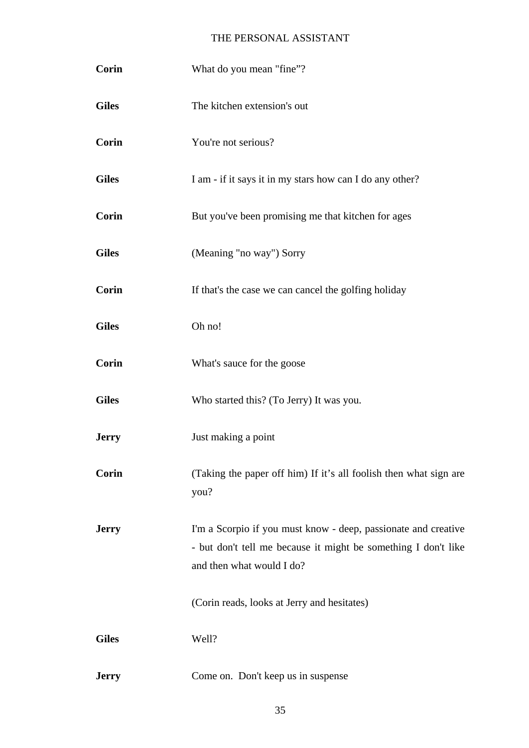| Corin        | What do you mean "fine"?                                                                                                                                      |
|--------------|---------------------------------------------------------------------------------------------------------------------------------------------------------------|
| <b>Giles</b> | The kitchen extension's out                                                                                                                                   |
| <b>Corin</b> | You're not serious?                                                                                                                                           |
| <b>Giles</b> | I am - if it says it in my stars how can I do any other?                                                                                                      |
| Corin        | But you've been promising me that kitchen for ages                                                                                                            |
| <b>Giles</b> | (Meaning "no way") Sorry                                                                                                                                      |
| Corin        | If that's the case we can cancel the golfing holiday                                                                                                          |
| <b>Giles</b> | Oh no!                                                                                                                                                        |
| Corin        | What's sauce for the goose                                                                                                                                    |
| <b>Giles</b> | Who started this? (To Jerry) It was you.                                                                                                                      |
| <b>Jerry</b> | Just making a point                                                                                                                                           |
| Corin        | (Taking the paper off him) If it's all foolish then what sign are<br>you?                                                                                     |
| <b>Jerry</b> | I'm a Scorpio if you must know - deep, passionate and creative<br>- but don't tell me because it might be something I don't like<br>and then what would I do? |
|              | (Corin reads, looks at Jerry and hesitates)                                                                                                                   |
| <b>Giles</b> | Well?                                                                                                                                                         |
| <b>Jerry</b> | Come on. Don't keep us in suspense                                                                                                                            |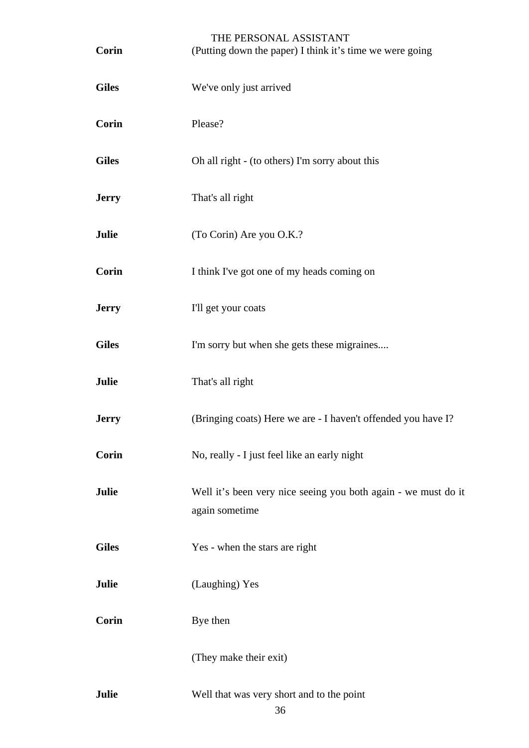| <b>Corin</b> | THE PERSONAL ASSISTANT<br>(Putting down the paper) I think it's time we were going |
|--------------|------------------------------------------------------------------------------------|
| <b>Giles</b> | We've only just arrived                                                            |
| Corin        | Please?                                                                            |
| <b>Giles</b> | Oh all right - (to others) I'm sorry about this                                    |
| <b>Jerry</b> | That's all right                                                                   |
| Julie        | (To Corin) Are you O.K.?                                                           |
| <b>Corin</b> | I think I've got one of my heads coming on                                         |
| <b>Jerry</b> | I'll get your coats                                                                |
| <b>Giles</b> | I'm sorry but when she gets these migraines                                        |
| Julie        | That's all right                                                                   |
| <b>Jerry</b> | (Bringing coats) Here we are - I haven't offended you have I?                      |
| Corin        | No, really - I just feel like an early night                                       |
| Julie        | Well it's been very nice seeing you both again - we must do it<br>again sometime   |
| <b>Giles</b> | Yes - when the stars are right                                                     |
| Julie        | (Laughing) Yes                                                                     |
| <b>Corin</b> | Bye then                                                                           |
|              | (They make their exit)                                                             |
| Julie        | Well that was very short and to the point<br>36                                    |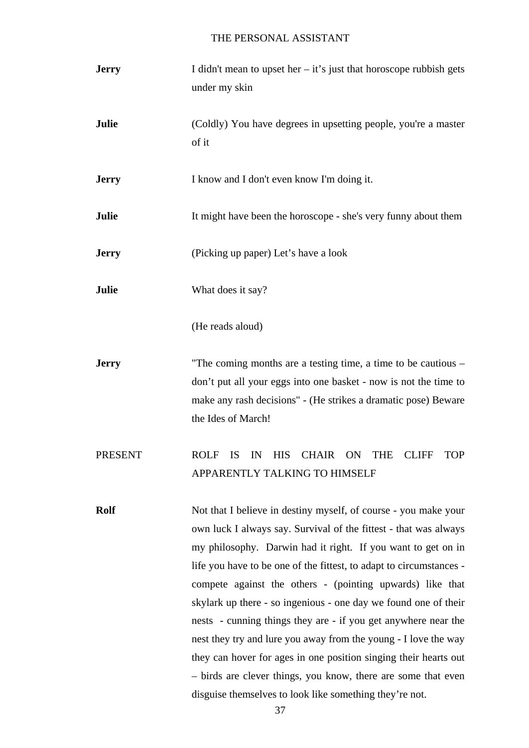| <b>Jerry</b>   | I didn't mean to upset her $-$ it's just that horoscope rubbish gets                                                                                                                                                                                                                                                                                                                                                                                                                                                                                                                                                                                                                                                                            |
|----------------|-------------------------------------------------------------------------------------------------------------------------------------------------------------------------------------------------------------------------------------------------------------------------------------------------------------------------------------------------------------------------------------------------------------------------------------------------------------------------------------------------------------------------------------------------------------------------------------------------------------------------------------------------------------------------------------------------------------------------------------------------|
|                | under my skin                                                                                                                                                                                                                                                                                                                                                                                                                                                                                                                                                                                                                                                                                                                                   |
| Julie          | (Coldly) You have degrees in upsetting people, you're a master<br>of it                                                                                                                                                                                                                                                                                                                                                                                                                                                                                                                                                                                                                                                                         |
| <b>Jerry</b>   | I know and I don't even know I'm doing it.                                                                                                                                                                                                                                                                                                                                                                                                                                                                                                                                                                                                                                                                                                      |
| Julie          | It might have been the horoscope - she's very funny about them                                                                                                                                                                                                                                                                                                                                                                                                                                                                                                                                                                                                                                                                                  |
| <b>Jerry</b>   | (Picking up paper) Let's have a look                                                                                                                                                                                                                                                                                                                                                                                                                                                                                                                                                                                                                                                                                                            |
| Julie          | What does it say?                                                                                                                                                                                                                                                                                                                                                                                                                                                                                                                                                                                                                                                                                                                               |
|                | (He reads aloud)                                                                                                                                                                                                                                                                                                                                                                                                                                                                                                                                                                                                                                                                                                                                |
| <b>Jerry</b>   | "The coming months are a testing time, a time to be cautious –<br>don't put all your eggs into one basket - now is not the time to<br>make any rash decisions" - (He strikes a dramatic pose) Beware<br>the Ides of March!                                                                                                                                                                                                                                                                                                                                                                                                                                                                                                                      |
| <b>PRESENT</b> | <b>ROLF</b><br><b>HIS</b><br><b>CHAIR</b><br><b>ON</b><br><b>THE</b><br><b>IS</b><br>IN<br><b>CLIFF</b><br><b>TOP</b><br>APPARENTLY TALKING TO HIMSELF                                                                                                                                                                                                                                                                                                                                                                                                                                                                                                                                                                                          |
| <b>Rolf</b>    | Not that I believe in destiny myself, of course - you make your<br>own luck I always say. Survival of the fittest - that was always<br>my philosophy. Darwin had it right. If you want to get on in<br>life you have to be one of the fittest, to adapt to circumstances -<br>compete against the others - (pointing upwards) like that<br>skylark up there - so ingenious - one day we found one of their<br>nests - cunning things they are - if you get anywhere near the<br>nest they try and lure you away from the young - I love the way<br>they can hover for ages in one position singing their hearts out<br>- birds are clever things, you know, there are some that even<br>disguise themselves to look like something they're not. |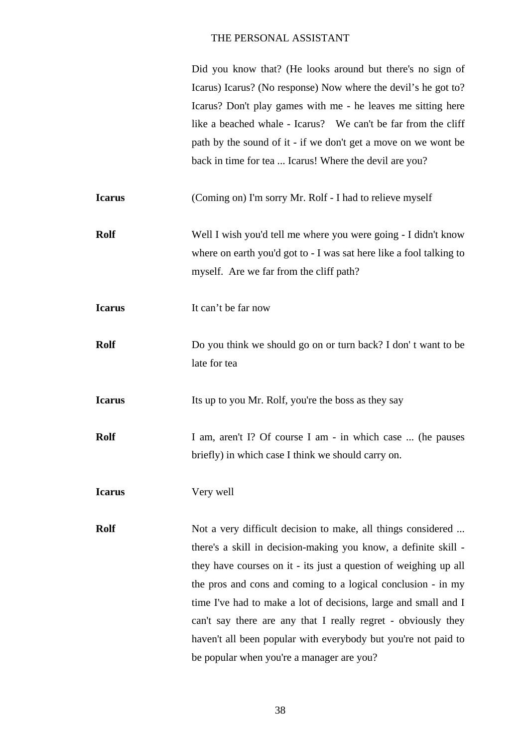|               | Did you know that? (He looks around but there's no sign of          |
|---------------|---------------------------------------------------------------------|
|               | Icarus) Icarus? (No response) Now where the devil's he got to?      |
|               | Icarus? Don't play games with me - he leaves me sitting here        |
|               | like a beached whale - Icarus? We can't be far from the cliff       |
|               | path by the sound of it - if we don't get a move on we wont be      |
|               | back in time for tea  Icarus! Where the devil are you?              |
| <b>Icarus</b> | (Coming on) I'm sorry Mr. Rolf - I had to relieve myself            |
| <b>Rolf</b>   | Well I wish you'd tell me where you were going - I didn't know      |
|               | where on earth you'd got to - I was sat here like a fool talking to |
|               | myself. Are we far from the cliff path?                             |
| <b>Icarus</b> | It can't be far now                                                 |
| <b>Rolf</b>   | Do you think we should go on or turn back? I don't want to be       |
|               | late for tea                                                        |
| <b>Icarus</b> | Its up to you Mr. Rolf, you're the boss as they say                 |
| <b>Rolf</b>   | I am, aren't I? Of course I am - in which case  (he pauses          |
|               | briefly) in which case I think we should carry on.                  |
| <b>Icarus</b> | Very well                                                           |
| <b>Rolf</b>   | Not a very difficult decision to make, all things considered        |
|               | there's a skill in decision-making you know, a definite skill -     |
|               | they have courses on it - its just a question of weighing up all    |
|               | the pros and cons and coming to a logical conclusion - in my        |
|               | time I've had to make a lot of decisions, large and small and I     |
|               | can't say there are any that I really regret - obviously they       |
|               | haven't all been popular with everybody but you're not paid to      |
|               | be popular when you're a manager are you?                           |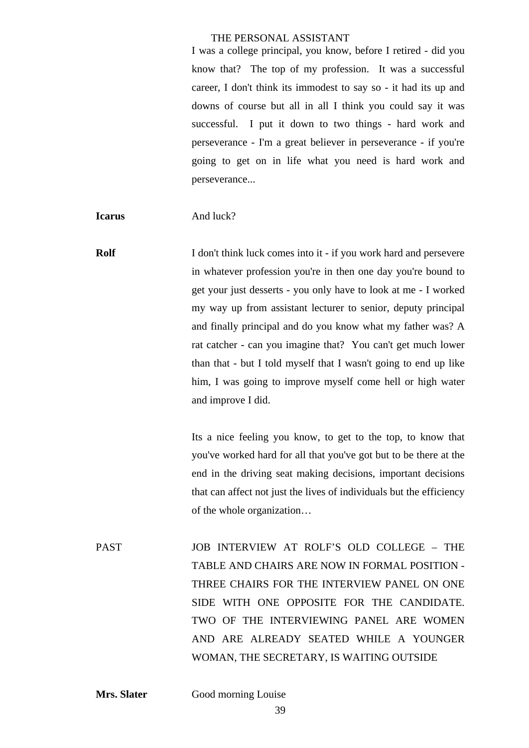I was a college principal, you know, before I retired - did you know that? The top of my profession. It was a successful career, I don't think its immodest to say so - it had its up and downs of course but all in all I think you could say it was successful. I put it down to two things - hard work and perseverance - I'm a great believer in perseverance - if you're going to get on in life what you need is hard work and perseverance...

**Icarus** And luck?

**Rolf** I don't think luck comes into it - if you work hard and persevere in whatever profession you're in then one day you're bound to get your just desserts - you only have to look at me - I worked my way up from assistant lecturer to senior, deputy principal and finally principal and do you know what my father was? A rat catcher - can you imagine that? You can't get much lower than that - but I told myself that I wasn't going to end up like him, I was going to improve myself come hell or high water and improve I did.

> Its a nice feeling you know, to get to the top, to know that you've worked hard for all that you've got but to be there at the end in the driving seat making decisions, important decisions that can affect not just the lives of individuals but the efficiency of the whole organization…

PAST JOB INTERVIEW AT ROLF'S OLD COLLEGE – THE TABLE AND CHAIRS ARE NOW IN FORMAL POSITION - THREE CHAIRS FOR THE INTERVIEW PANEL ON ONE SIDE WITH ONE OPPOSITE FOR THE CANDIDATE. TWO OF THE INTERVIEWING PANEL ARE WOMEN AND ARE ALREADY SEATED WHILE A YOUNGER WOMAN, THE SECRETARY, IS WAITING OUTSIDE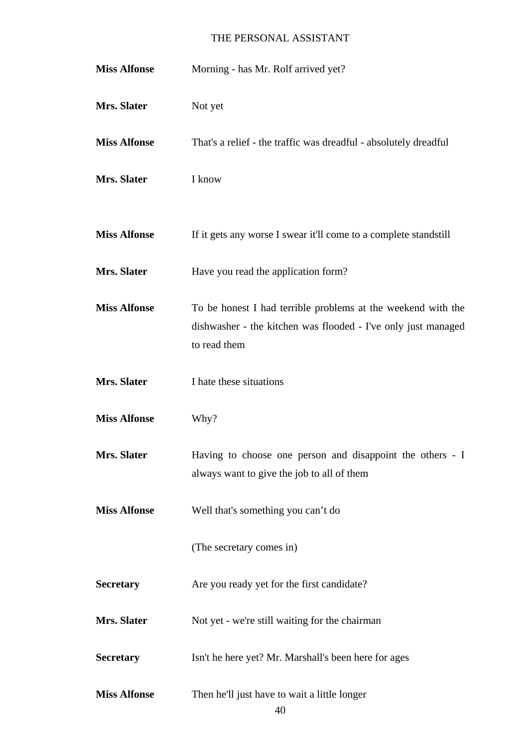| <b>Miss Alfonse</b> | Morning - has Mr. Rolf arrived yet?                                                                                                           |
|---------------------|-----------------------------------------------------------------------------------------------------------------------------------------------|
| Mrs. Slater         | Not yet                                                                                                                                       |
| <b>Miss Alfonse</b> | That's a relief - the traffic was dreadful - absolutely dreadful                                                                              |
| Mrs. Slater         | I know                                                                                                                                        |
| <b>Miss Alfonse</b> | If it gets any worse I swear it'll come to a complete standstill                                                                              |
| Mrs. Slater         | Have you read the application form?                                                                                                           |
| <b>Miss Alfonse</b> | To be honest I had terrible problems at the weekend with the<br>dishwasher - the kitchen was flooded - I've only just managed<br>to read them |
| Mrs. Slater         | I hate these situations                                                                                                                       |
| <b>Miss Alfonse</b> | Why?                                                                                                                                          |
| Mrs. Slater         | Having to choose one person and disappoint the others - I<br>always want to give the job to all of them                                       |
| <b>Miss Alfonse</b> | Well that's something you can't do                                                                                                            |
|                     | (The secretary comes in)                                                                                                                      |
| <b>Secretary</b>    | Are you ready yet for the first candidate?                                                                                                    |
| Mrs. Slater         | Not yet - we're still waiting for the chairman                                                                                                |
| <b>Secretary</b>    | Isn't he here yet? Mr. Marshall's been here for ages                                                                                          |
| <b>Miss Alfonse</b> | Then he'll just have to wait a little longer<br>40                                                                                            |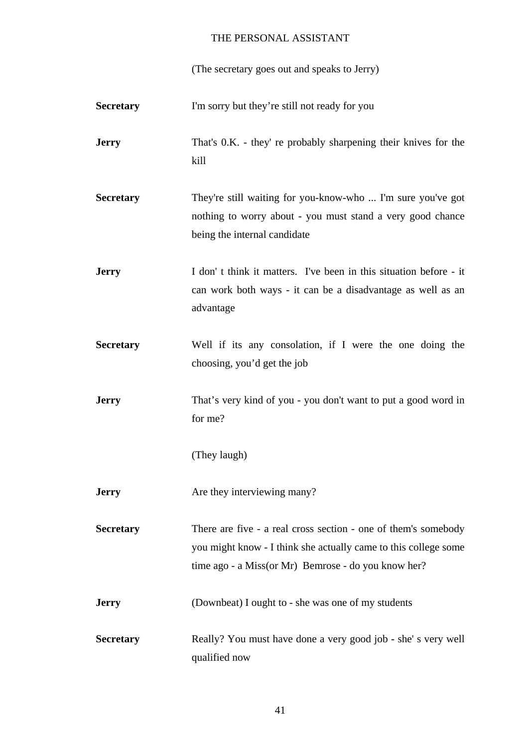(The secretary goes out and speaks to Jerry)

| <b>Secretary</b> | I'm sorry but they're still not ready for you                                                                                                                                            |
|------------------|------------------------------------------------------------------------------------------------------------------------------------------------------------------------------------------|
| <b>Jerry</b>     | That's 0.K. - they' re probably sharpening their knives for the<br>kill                                                                                                                  |
| <b>Secretary</b> | They're still waiting for you-know-who  I'm sure you've got<br>nothing to worry about - you must stand a very good chance<br>being the internal candidate                                |
| <b>Jerry</b>     | I don't think it matters. I've been in this situation before - it<br>can work both ways - it can be a disadvantage as well as an<br>advantage                                            |
| <b>Secretary</b> | Well if its any consolation, if I were the one doing the<br>choosing, you'd get the job                                                                                                  |
| <b>Jerry</b>     | That's very kind of you - you don't want to put a good word in<br>for me?                                                                                                                |
|                  | (They laugh)                                                                                                                                                                             |
| <b>Jerry</b>     | Are they interviewing many?                                                                                                                                                              |
| <b>Secretary</b> | There are five - a real cross section - one of them's somebody<br>you might know - I think she actually came to this college some<br>time ago - a Miss(or Mr) Bemrose - do you know her? |
| <b>Jerry</b>     | (Downbeat) I ought to - she was one of my students                                                                                                                                       |
| <b>Secretary</b> | Really? You must have done a very good job - she's very well<br>qualified now                                                                                                            |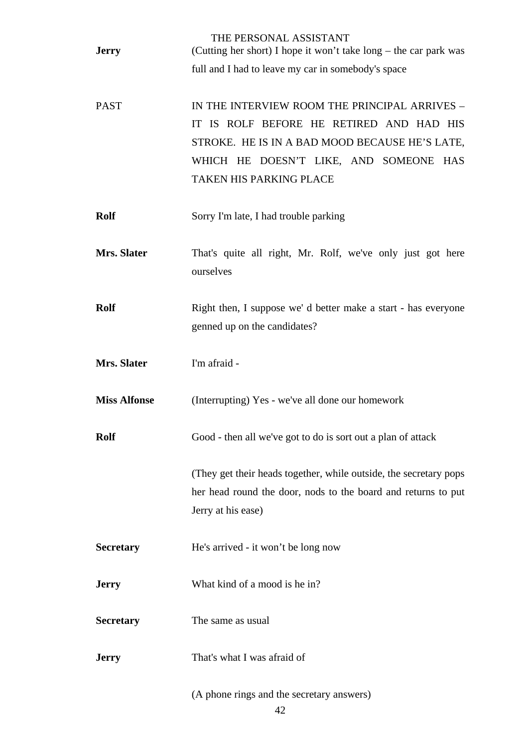| <b>Jerry</b>        | THE PERSONAL ASSISTANT<br>(Cutting her short) I hope it won't take long – the car park was |
|---------------------|--------------------------------------------------------------------------------------------|
|                     | full and I had to leave my car in somebody's space                                         |
|                     |                                                                                            |
| <b>PAST</b>         | IN THE INTERVIEW ROOM THE PRINCIPAL ARRIVES -                                              |
|                     | IT IS ROLF BEFORE HE RETIRED AND HAD HIS                                                   |
|                     | STROKE. HE IS IN A BAD MOOD BECAUSE HE'S LATE,                                             |
|                     | WHICH HE DOESN'T LIKE, AND SOMEONE HAS                                                     |
|                     | <b>TAKEN HIS PARKING PLACE</b>                                                             |
|                     |                                                                                            |
| <b>Rolf</b>         | Sorry I'm late, I had trouble parking                                                      |
|                     |                                                                                            |
| Mrs. Slater         | That's quite all right, Mr. Rolf, we've only just got here                                 |
|                     | ourselves                                                                                  |
|                     |                                                                                            |
| <b>Rolf</b>         | Right then, I suppose we'd better make a start - has everyone                              |
|                     | genned up on the candidates?                                                               |
| Mrs. Slater         | I'm afraid -                                                                               |
|                     |                                                                                            |
| <b>Miss Alfonse</b> | (Interrupting) Yes - we've all done our homework                                           |
|                     |                                                                                            |
| <b>Rolf</b>         | Good - then all we've got to do is sort out a plan of attack                               |
|                     |                                                                                            |
|                     | (They get their heads together, while outside, the secretary pops                          |
|                     | her head round the door, nods to the board and returns to put                              |
|                     | Jerry at his ease)                                                                         |
|                     |                                                                                            |
| <b>Secretary</b>    | He's arrived - it won't be long now                                                        |
|                     |                                                                                            |
| <b>Jerry</b>        | What kind of a mood is he in?                                                              |
|                     |                                                                                            |
| <b>Secretary</b>    | The same as usual                                                                          |
|                     |                                                                                            |
| <b>Jerry</b>        | That's what I was afraid of                                                                |
|                     |                                                                                            |
|                     | (A phone rings and the secretary answers)                                                  |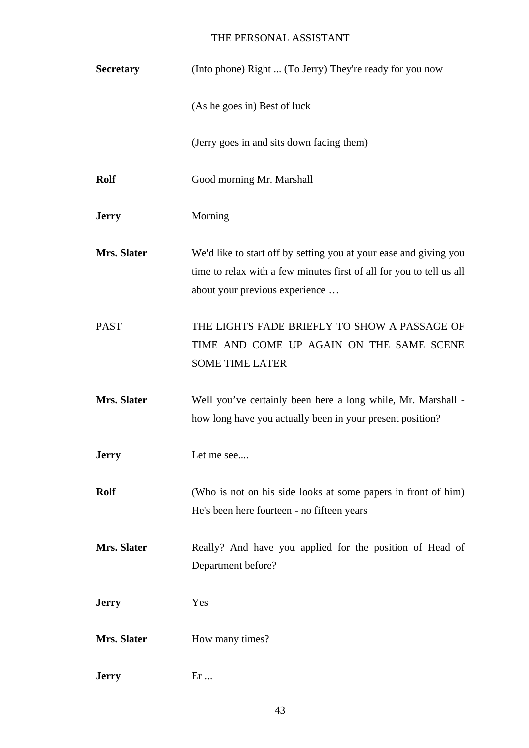| <b>Secretary</b> | (Into phone) Right  (To Jerry) They're ready for you now                                                                                                                    |
|------------------|-----------------------------------------------------------------------------------------------------------------------------------------------------------------------------|
|                  | (As he goes in) Best of luck                                                                                                                                                |
|                  | (Jerry goes in and sits down facing them)                                                                                                                                   |
| <b>Rolf</b>      | Good morning Mr. Marshall                                                                                                                                                   |
| <b>Jerry</b>     | Morning                                                                                                                                                                     |
| Mrs. Slater      | We'd like to start off by setting you at your ease and giving you<br>time to relax with a few minutes first of all for you to tell us all<br>about your previous experience |
| <b>PAST</b>      | THE LIGHTS FADE BRIEFLY TO SHOW A PASSAGE OF<br>TIME AND COME UP AGAIN ON THE SAME SCENE<br><b>SOME TIME LATER</b>                                                          |
| Mrs. Slater      | Well you've certainly been here a long while, Mr. Marshall -<br>how long have you actually been in your present position?                                                   |
| <b>Jerry</b>     | Let me see                                                                                                                                                                  |
| <b>Rolf</b>      | (Who is not on his side looks at some papers in front of him)<br>He's been here fourteen - no fifteen years                                                                 |
| Mrs. Slater      | Really? And have you applied for the position of Head of<br>Department before?                                                                                              |
| <b>Jerry</b>     | Yes                                                                                                                                                                         |
| Mrs. Slater      | How many times?                                                                                                                                                             |
| <b>Jerry</b>     | $Er \dots$                                                                                                                                                                  |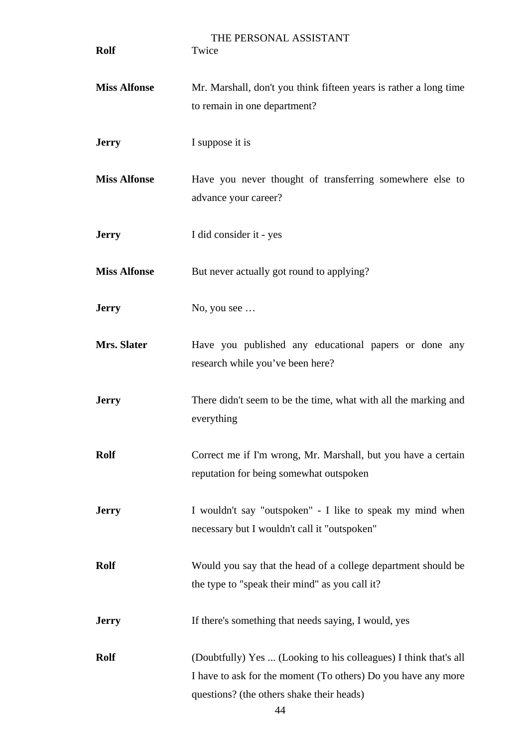| <b>Rolf</b>         | THE PERSONAL ASSISTANT<br>Twice                                                                                                                                                |
|---------------------|--------------------------------------------------------------------------------------------------------------------------------------------------------------------------------|
| <b>Miss Alfonse</b> | Mr. Marshall, don't you think fifteen years is rather a long time<br>to remain in one department?                                                                              |
| <b>Jerry</b>        | I suppose it is                                                                                                                                                                |
| <b>Miss Alfonse</b> | Have you never thought of transferring somewhere else to<br>advance your career?                                                                                               |
| <b>Jerry</b>        | I did consider it - yes                                                                                                                                                        |
| <b>Miss Alfonse</b> | But never actually got round to applying?                                                                                                                                      |
| <b>Jerry</b>        | No, you see $\ldots$                                                                                                                                                           |
| Mrs. Slater         | Have you published any educational papers or done any<br>research while you've been here?                                                                                      |
| <b>Jerry</b>        | There didn't seem to be the time, what with all the marking and<br>everything                                                                                                  |
| <b>Rolf</b>         | Correct me if I'm wrong, Mr. Marshall, but you have a certain<br>reputation for being somewhat outspoken                                                                       |
| <b>Jerry</b>        | I wouldn't say "outspoken" - I like to speak my mind when<br>necessary but I wouldn't call it "outspoken"                                                                      |
| <b>Rolf</b>         | Would you say that the head of a college department should be<br>the type to "speak their mind" as you call it?                                                                |
| <b>Jerry</b>        | If there's something that needs saying, I would, yes                                                                                                                           |
| <b>Rolf</b>         | (Doubtfully) Yes  (Looking to his colleagues) I think that's all<br>I have to ask for the moment (To others) Do you have any more<br>questions? (the others shake their heads) |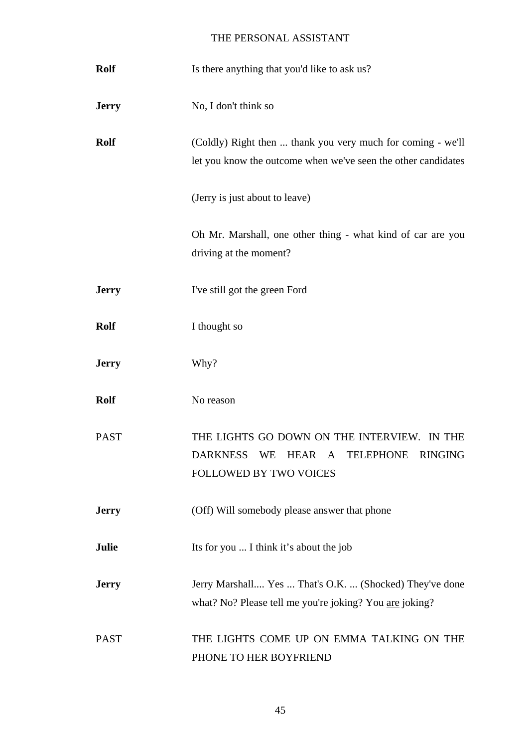| <b>Rolf</b>  | Is there anything that you'd like to ask us?                                                                                                                        |
|--------------|---------------------------------------------------------------------------------------------------------------------------------------------------------------------|
| <b>Jerry</b> | No, I don't think so                                                                                                                                                |
| <b>Rolf</b>  | (Coldly) Right then  thank you very much for coming - we'll<br>let you know the outcome when we've seen the other candidates                                        |
|              | (Jerry is just about to leave)                                                                                                                                      |
|              | Oh Mr. Marshall, one other thing - what kind of car are you<br>driving at the moment?                                                                               |
| <b>Jerry</b> | I've still got the green Ford                                                                                                                                       |
| <b>Rolf</b>  | I thought so                                                                                                                                                        |
| <b>Jerry</b> | Why?                                                                                                                                                                |
| <b>Rolf</b>  | No reason                                                                                                                                                           |
| <b>PAST</b>  | THE LIGHTS GO DOWN ON THE INTERVIEW. IN THE<br><b>DARKNESS</b><br>WE<br>HEAR<br>$\mathbf{A}$<br><b>TELEPHONE</b><br><b>RINGING</b><br><b>FOLLOWED BY TWO VOICES</b> |
| <b>Jerry</b> | (Off) Will somebody please answer that phone                                                                                                                        |
| <b>Julie</b> | Its for you  I think it's about the job                                                                                                                             |
| <b>Jerry</b> | Jerry Marshall Yes  That's O.K.  (Shocked) They've done<br>what? No? Please tell me you're joking? You are joking?                                                  |
| <b>PAST</b>  | THE LIGHTS COME UP ON EMMA TALKING ON THE<br>PHONE TO HER BOYFRIEND                                                                                                 |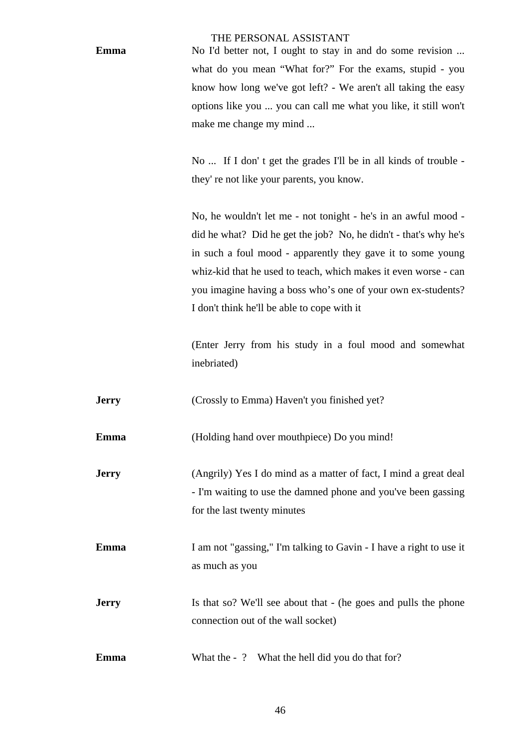**Emma** No I'd better not, I ought to stay in and do some revision ... what do you mean "What for?" For the exams, stupid - you know how long we've got left? - We aren't all taking the easy options like you ... you can call me what you like, it still won't make me change my mind ...

> No ... If I don' t get the grades I'll be in all kinds of trouble they' re not like your parents, you know.

> No, he wouldn't let me - not tonight - he's in an awful mood did he what? Did he get the job? No, he didn't - that's why he's in such a foul mood - apparently they gave it to some young whiz-kid that he used to teach, which makes it even worse - can you imagine having a boss who's one of your own ex-students? I don't think he'll be able to cope with it

> (Enter Jerry from his study in a foul mood and somewhat inebriated)

**Jerry** (Crossly to Emma) Haven't you finished yet?

**Emma** (Holding hand over mouthpiece) Do you mind!

**Jerry** (Angrily) Yes I do mind as a matter of fact, I mind a great deal - I'm waiting to use the damned phone and you've been gassing for the last twenty minutes

**Emma** I am not "gassing," I'm talking to Gavin - I have a right to use it as much as you

**Jerry** Is that so? We'll see about that - (he goes and pulls the phone connection out of the wall socket)

**Emma** What the - ? What the hell did you do that for?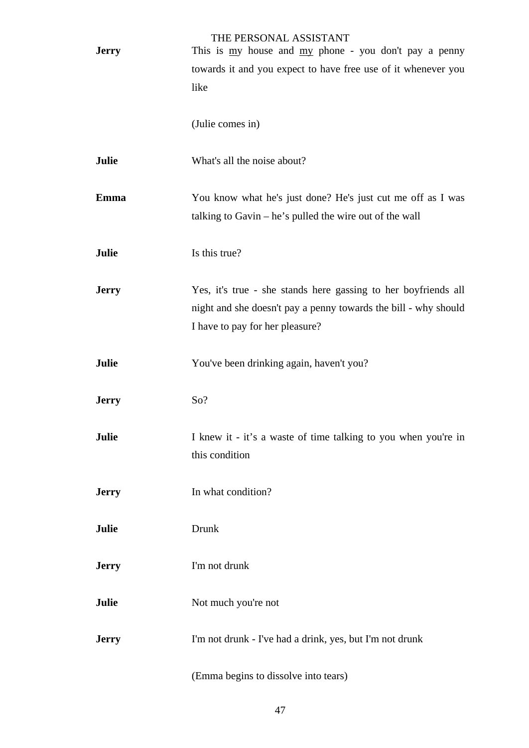|              | THE PERSONAL ASSISTANT                                                                                                                         |
|--------------|------------------------------------------------------------------------------------------------------------------------------------------------|
| <b>Jerry</b> | This is $\frac{my}{m}$ house and $\frac{my}{m}$ phone - you don't pay a penny<br>towards it and you expect to have free use of it whenever you |
|              | like                                                                                                                                           |
|              |                                                                                                                                                |
|              | (Julie comes in)                                                                                                                               |
| Julie        | What's all the noise about?                                                                                                                    |
| <b>Emma</b>  | You know what he's just done? He's just cut me off as I was                                                                                    |
|              | talking to Gavin $-$ he's pulled the wire out of the wall                                                                                      |
|              |                                                                                                                                                |
| <b>Julie</b> | Is this true?                                                                                                                                  |
| <b>Jerry</b> | Yes, it's true - she stands here gassing to her boyfriends all                                                                                 |
|              | night and she doesn't pay a penny towards the bill - why should                                                                                |
|              | I have to pay for her pleasure?                                                                                                                |
|              |                                                                                                                                                |
| Julie        | You've been drinking again, haven't you?                                                                                                       |
|              |                                                                                                                                                |
| <b>Jerry</b> | So?                                                                                                                                            |
|              |                                                                                                                                                |
| Julie        | I knew it - it's a waste of time talking to you when you're in<br>this condition                                                               |
|              |                                                                                                                                                |
| <b>Jerry</b> | In what condition?                                                                                                                             |
|              |                                                                                                                                                |
| Julie        | Drunk                                                                                                                                          |
|              |                                                                                                                                                |
| <b>Jerry</b> | I'm not drunk                                                                                                                                  |
| Julie        | Not much you're not                                                                                                                            |
|              |                                                                                                                                                |
| <b>Jerry</b> | I'm not drunk - I've had a drink, yes, but I'm not drunk                                                                                       |
|              |                                                                                                                                                |
|              | (Emma begins to dissolve into tears)                                                                                                           |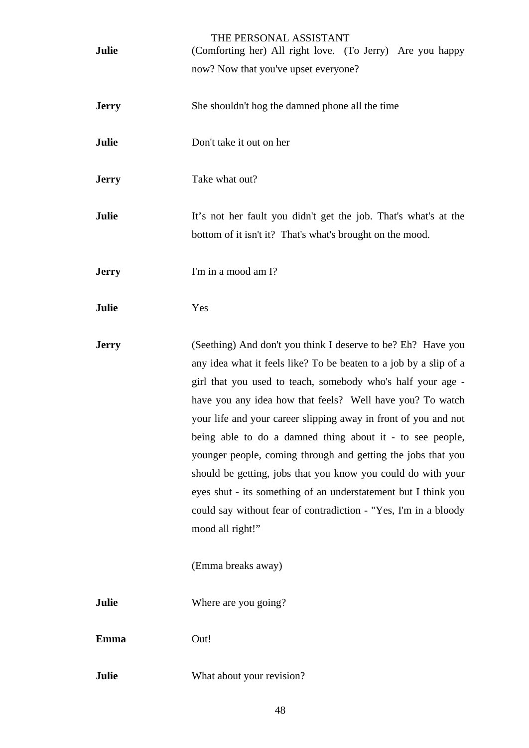| Julie        | THE PERSONAL ASSISTANT<br>(Comforting her) All right love. (To Jerry) Are you happy                                                                                                                                                                                                                                                                                                                                                                                                                                                                                                                                                                                                                          |
|--------------|--------------------------------------------------------------------------------------------------------------------------------------------------------------------------------------------------------------------------------------------------------------------------------------------------------------------------------------------------------------------------------------------------------------------------------------------------------------------------------------------------------------------------------------------------------------------------------------------------------------------------------------------------------------------------------------------------------------|
|              | now? Now that you've upset everyone?                                                                                                                                                                                                                                                                                                                                                                                                                                                                                                                                                                                                                                                                         |
| <b>Jerry</b> | She shouldn't hog the damned phone all the time                                                                                                                                                                                                                                                                                                                                                                                                                                                                                                                                                                                                                                                              |
| Julie        | Don't take it out on her                                                                                                                                                                                                                                                                                                                                                                                                                                                                                                                                                                                                                                                                                     |
| <b>Jerry</b> | Take what out?                                                                                                                                                                                                                                                                                                                                                                                                                                                                                                                                                                                                                                                                                               |
| Julie        | It's not her fault you didn't get the job. That's what's at the<br>bottom of it isn't it? That's what's brought on the mood.                                                                                                                                                                                                                                                                                                                                                                                                                                                                                                                                                                                 |
| <b>Jerry</b> | I'm in a mood am I?                                                                                                                                                                                                                                                                                                                                                                                                                                                                                                                                                                                                                                                                                          |
| Julie        | Yes                                                                                                                                                                                                                                                                                                                                                                                                                                                                                                                                                                                                                                                                                                          |
| <b>Jerry</b> | (Seething) And don't you think I deserve to be? Eh? Have you<br>any idea what it feels like? To be beaten to a job by a slip of a<br>girl that you used to teach, somebody who's half your age -<br>have you any idea how that feels? Well have you? To watch<br>your life and your career slipping away in front of you and not<br>being able to do a damned thing about it - to see people,<br>younger people, coming through and getting the jobs that you<br>should be getting, jobs that you know you could do with your<br>eyes shut - its something of an understatement but I think you<br>could say without fear of contradiction - "Yes, I'm in a bloody<br>mood all right!"<br>(Emma breaks away) |
| Julie        | Where are you going?                                                                                                                                                                                                                                                                                                                                                                                                                                                                                                                                                                                                                                                                                         |
| <b>Emma</b>  | Out!                                                                                                                                                                                                                                                                                                                                                                                                                                                                                                                                                                                                                                                                                                         |
| Julie        | What about your revision?                                                                                                                                                                                                                                                                                                                                                                                                                                                                                                                                                                                                                                                                                    |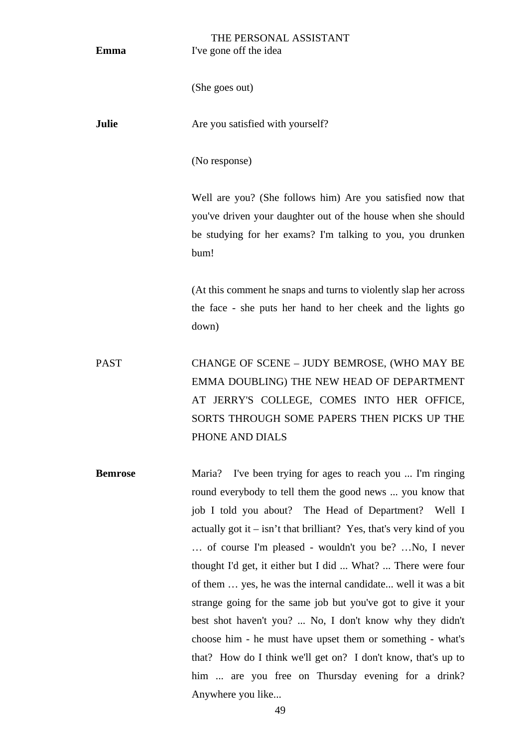| Emma           | THE PERSONAL ASSISTANT<br>I've gone off the idea                                                                                                                                                                                                                                                                                                                                                                                                                                                                                                                                                                                                                                                                                                                                                |
|----------------|-------------------------------------------------------------------------------------------------------------------------------------------------------------------------------------------------------------------------------------------------------------------------------------------------------------------------------------------------------------------------------------------------------------------------------------------------------------------------------------------------------------------------------------------------------------------------------------------------------------------------------------------------------------------------------------------------------------------------------------------------------------------------------------------------|
|                | (She goes out)                                                                                                                                                                                                                                                                                                                                                                                                                                                                                                                                                                                                                                                                                                                                                                                  |
| Julie          | Are you satisfied with yourself?                                                                                                                                                                                                                                                                                                                                                                                                                                                                                                                                                                                                                                                                                                                                                                |
|                | (No response)                                                                                                                                                                                                                                                                                                                                                                                                                                                                                                                                                                                                                                                                                                                                                                                   |
|                | Well are you? (She follows him) Are you satisfied now that<br>you've driven your daughter out of the house when she should<br>be studying for her exams? I'm talking to you, you drunken<br>bum!                                                                                                                                                                                                                                                                                                                                                                                                                                                                                                                                                                                                |
|                | (At this comment he snaps and turns to violently slap her across<br>the face - she puts her hand to her cheek and the lights go<br>down)                                                                                                                                                                                                                                                                                                                                                                                                                                                                                                                                                                                                                                                        |
| <b>PAST</b>    | CHANGE OF SCENE - JUDY BEMROSE, (WHO MAY BE<br>EMMA DOUBLING) THE NEW HEAD OF DEPARTMENT<br>AT JERRY'S COLLEGE, COMES INTO HER OFFICE,<br>SORTS THROUGH SOME PAPERS THEN PICKS UP THE<br>PHONE AND DIALS                                                                                                                                                                                                                                                                                                                                                                                                                                                                                                                                                                                        |
| <b>Bemrose</b> | I've been trying for ages to reach you  I'm ringing<br>Maria?<br>round everybody to tell them the good news  you know that<br>job I told you about? The Head of Department?<br>Well I<br>actually got it $-$ isn't that brilliant? Yes, that's very kind of you<br>of course I'm pleased - wouldn't you be? No, I never<br>thought I'd get, it either but I did  What?  There were four<br>of them  yes, he was the internal candidate well it was a bit<br>strange going for the same job but you've got to give it your<br>best shot haven't you?  No, I don't know why they didn't<br>choose him - he must have upset them or something - what's<br>that? How do I think we'll get on? I don't know, that's up to<br>him  are you free on Thursday evening for a drink?<br>Anywhere you like |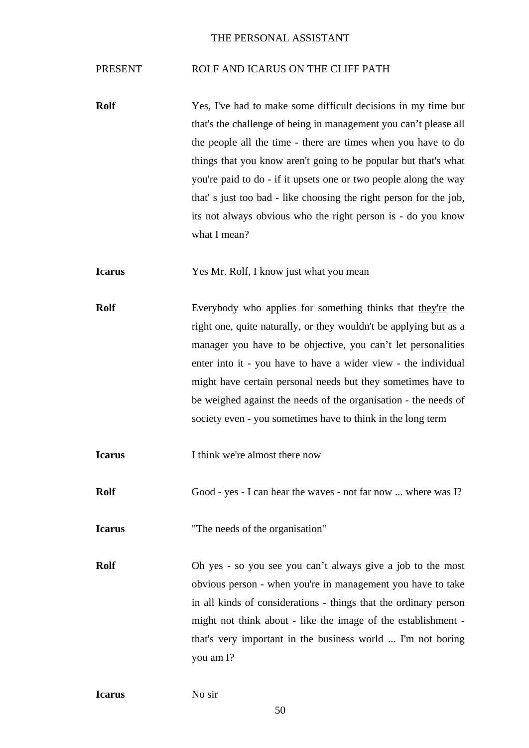#### PRESENT ROLF AND ICARUS ON THE CLIFF PATH

**Rolf** Yes, I've had to make some difficult decisions in my time but that's the challenge of being in management you can't please all the people all the time - there are times when you have to do things that you know aren't going to be popular but that's what you're paid to do - if it upsets one or two people along the way that' s just too bad - like choosing the right person for the job, its not always obvious who the right person is - do you know what I mean?

**Icarus** Yes Mr. Rolf, I know just what you mean

**Rolf** Everybody who applies for something thinks that they're the right one, quite naturally, or they wouldn't be applying but as a manager you have to be objective, you can't let personalities enter into it - you have to have a wider view - the individual might have certain personal needs but they sometimes have to be weighed against the needs of the organisation - the needs of society even - you sometimes have to think in the long term

**I think** we're almost there now

**Rolf** Good - yes - I can hear the waves - not far now ... where was I?

**Icarus** "The needs of the organisation"

**Rolf** Oh yes - so you see you can't always give a job to the most obvious person - when you're in management you have to take in all kinds of considerations - things that the ordinary person might not think about - like the image of the establishment that's very important in the business world ... I'm not boring you am I?

**Icarus** No sir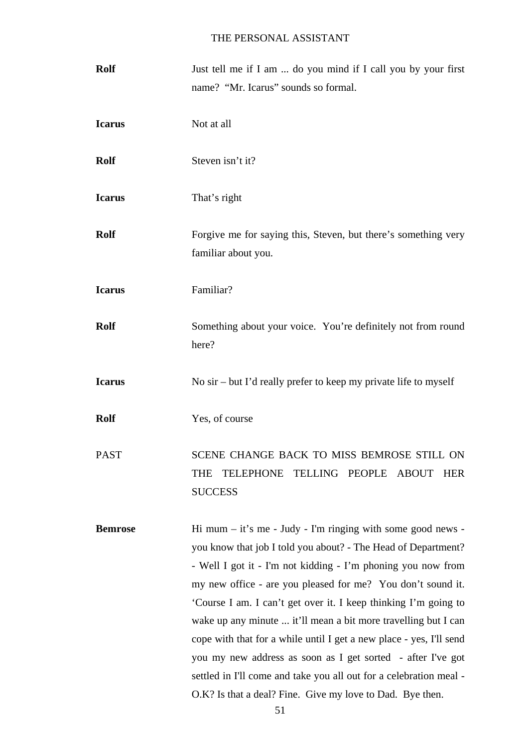| <b>Rolf</b>    | Just tell me if I am  do you mind if I call you by your first<br>name? "Mr. Icarus" sounds so formal.                                                                                                                                                                                                                                                                                                                                                                                                                                                                                                                                                                       |
|----------------|-----------------------------------------------------------------------------------------------------------------------------------------------------------------------------------------------------------------------------------------------------------------------------------------------------------------------------------------------------------------------------------------------------------------------------------------------------------------------------------------------------------------------------------------------------------------------------------------------------------------------------------------------------------------------------|
| <b>Icarus</b>  | Not at all                                                                                                                                                                                                                                                                                                                                                                                                                                                                                                                                                                                                                                                                  |
| <b>Rolf</b>    | Steven isn't it?                                                                                                                                                                                                                                                                                                                                                                                                                                                                                                                                                                                                                                                            |
| <b>Icarus</b>  | That's right                                                                                                                                                                                                                                                                                                                                                                                                                                                                                                                                                                                                                                                                |
| <b>Rolf</b>    | Forgive me for saying this, Steven, but there's something very<br>familiar about you.                                                                                                                                                                                                                                                                                                                                                                                                                                                                                                                                                                                       |
| <b>Icarus</b>  | Familiar?                                                                                                                                                                                                                                                                                                                                                                                                                                                                                                                                                                                                                                                                   |
| <b>Rolf</b>    | Something about your voice. You're definitely not from round<br>here?                                                                                                                                                                                                                                                                                                                                                                                                                                                                                                                                                                                                       |
| <b>Icarus</b>  | No $\sin$ – but I'd really prefer to keep my private life to myself                                                                                                                                                                                                                                                                                                                                                                                                                                                                                                                                                                                                         |
| <b>Rolf</b>    | Yes, of course                                                                                                                                                                                                                                                                                                                                                                                                                                                                                                                                                                                                                                                              |
| <b>PAST</b>    | SCENE CHANGE BACK TO MISS BEMROSE STILL ON<br>TELLING PEOPLE ABOUT HER<br>TELEPHONE<br>THE<br><b>SUCCESS</b>                                                                                                                                                                                                                                                                                                                                                                                                                                                                                                                                                                |
| <b>Bemrose</b> | Hi mum $-$ it's me - Judy - I'm ringing with some good news -<br>you know that job I told you about? - The Head of Department?<br>- Well I got it - I'm not kidding - I'm phoning you now from<br>my new office - are you pleased for me? You don't sound it.<br>'Course I am. I can't get over it. I keep thinking I'm going to<br>wake up any minute  it'll mean a bit more travelling but I can<br>cope with that for a while until I get a new place - yes, I'll send<br>you my new address as soon as I get sorted - after I've got<br>settled in I'll come and take you all out for a celebration meal -<br>O.K? Is that a deal? Fine. Give my love to Dad. Bye then. |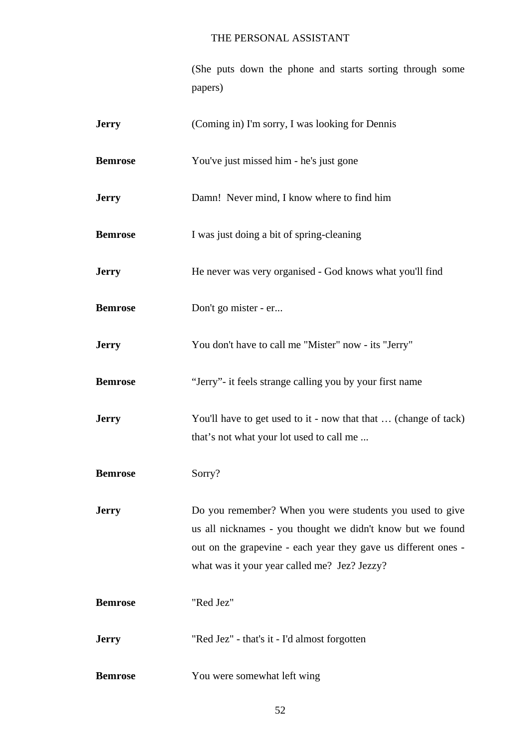(She puts down the phone and starts sorting through some papers)

| <b>Jerry</b>   | (Coming in) I'm sorry, I was looking for Dennis                                                                                                                                                                                          |
|----------------|------------------------------------------------------------------------------------------------------------------------------------------------------------------------------------------------------------------------------------------|
| <b>Bemrose</b> | You've just missed him - he's just gone                                                                                                                                                                                                  |
| <b>Jerry</b>   | Damn! Never mind, I know where to find him                                                                                                                                                                                               |
| <b>Bemrose</b> | I was just doing a bit of spring-cleaning                                                                                                                                                                                                |
| <b>Jerry</b>   | He never was very organised - God knows what you'll find                                                                                                                                                                                 |
| <b>Bemrose</b> | Don't go mister - er                                                                                                                                                                                                                     |
| <b>Jerry</b>   | You don't have to call me "Mister" now - its "Jerry"                                                                                                                                                                                     |
| <b>Bemrose</b> | "Jerry"- it feels strange calling you by your first name                                                                                                                                                                                 |
| <b>Jerry</b>   | You'll have to get used to it - now that that  (change of tack)<br>that's not what your lot used to call me                                                                                                                              |
| <b>Bemrose</b> | Sorry?                                                                                                                                                                                                                                   |
| <b>Jerry</b>   | Do you remember? When you were students you used to give<br>us all nicknames - you thought we didn't know but we found<br>out on the grapevine - each year they gave us different ones -<br>what was it your year called me? Jez? Jezzy? |
| <b>Bemrose</b> | "Red Jez"                                                                                                                                                                                                                                |
| <b>Jerry</b>   | "Red Jez" - that's it - I'd almost forgotten                                                                                                                                                                                             |
| <b>Bemrose</b> | You were somewhat left wing                                                                                                                                                                                                              |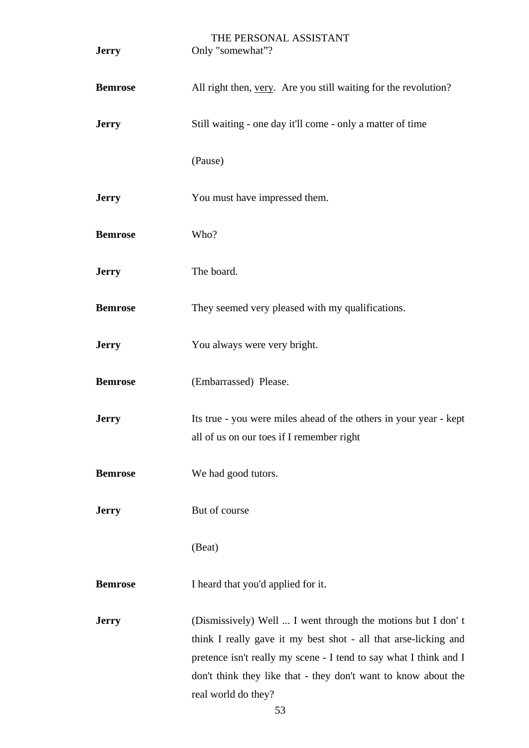| <b>Jerry</b>   | THE PERSONAL ASSISTANT<br>Only "somewhat"?                                                                                                                                                                                                                                                   |
|----------------|----------------------------------------------------------------------------------------------------------------------------------------------------------------------------------------------------------------------------------------------------------------------------------------------|
| <b>Bemrose</b> | All right then, very. Are you still waiting for the revolution?                                                                                                                                                                                                                              |
| <b>Jerry</b>   | Still waiting - one day it'll come - only a matter of time                                                                                                                                                                                                                                   |
|                | (Pause)                                                                                                                                                                                                                                                                                      |
| <b>Jerry</b>   | You must have impressed them.                                                                                                                                                                                                                                                                |
| <b>Bemrose</b> | Who?                                                                                                                                                                                                                                                                                         |
| <b>Jerry</b>   | The board.                                                                                                                                                                                                                                                                                   |
| <b>Bemrose</b> | They seemed very pleased with my qualifications.                                                                                                                                                                                                                                             |
| <b>Jerry</b>   | You always were very bright.                                                                                                                                                                                                                                                                 |
| <b>Bemrose</b> | (Embarrassed) Please.                                                                                                                                                                                                                                                                        |
| <b>Jerry</b>   | Its true - you were miles ahead of the others in your year - kept<br>all of us on our toes if I remember right                                                                                                                                                                               |
| <b>Bemrose</b> | We had good tutors.                                                                                                                                                                                                                                                                          |
| <b>Jerry</b>   | But of course                                                                                                                                                                                                                                                                                |
|                | (Beat)                                                                                                                                                                                                                                                                                       |
| <b>Bemrose</b> | I heard that you'd applied for it.                                                                                                                                                                                                                                                           |
| <b>Jerry</b>   | (Dismissively) Well  I went through the motions but I don't<br>think I really gave it my best shot - all that arse-licking and<br>pretence isn't really my scene - I tend to say what I think and I<br>don't think they like that - they don't want to know about the<br>real world do they? |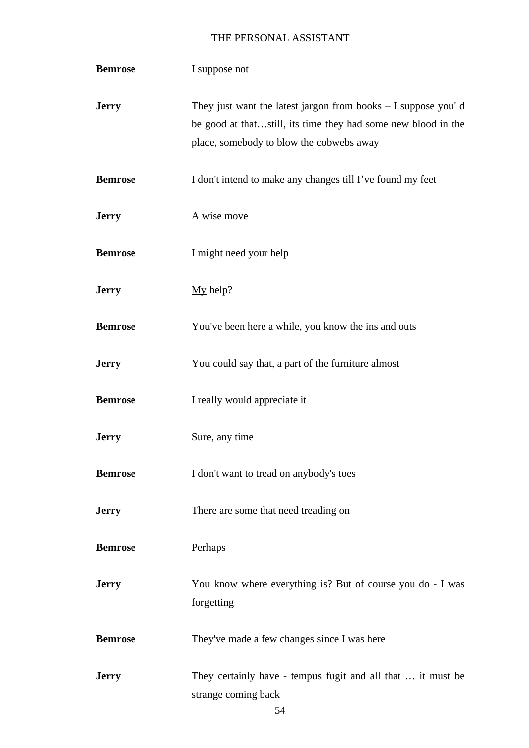| <b>Bemrose</b> | I suppose not                                                                                                                                                                |
|----------------|------------------------------------------------------------------------------------------------------------------------------------------------------------------------------|
| <b>Jerry</b>   | They just want the latest jargon from books $-$ I suppose you'd<br>be good at thatstill, its time they had some new blood in the<br>place, somebody to blow the cobwebs away |
| <b>Bemrose</b> | I don't intend to make any changes till I've found my feet                                                                                                                   |
| <b>Jerry</b>   | A wise move                                                                                                                                                                  |
| <b>Bemrose</b> | I might need your help                                                                                                                                                       |
| <b>Jerry</b>   | $My$ help?                                                                                                                                                                   |
| <b>Bemrose</b> | You've been here a while, you know the ins and outs                                                                                                                          |
| <b>Jerry</b>   | You could say that, a part of the furniture almost                                                                                                                           |
| <b>Bemrose</b> | I really would appreciate it                                                                                                                                                 |
| <b>Jerry</b>   | Sure, any time                                                                                                                                                               |
| <b>Bemrose</b> | I don't want to tread on anybody's toes                                                                                                                                      |
| <b>Jerry</b>   | There are some that need treading on                                                                                                                                         |
| <b>Bemrose</b> | Perhaps                                                                                                                                                                      |
| <b>Jerry</b>   | You know where everything is? But of course you do - I was<br>forgetting                                                                                                     |
| <b>Bemrose</b> | They've made a few changes since I was here                                                                                                                                  |
| <b>Jerry</b>   | They certainly have - tempus fugit and all that  it must be<br>strange coming back                                                                                           |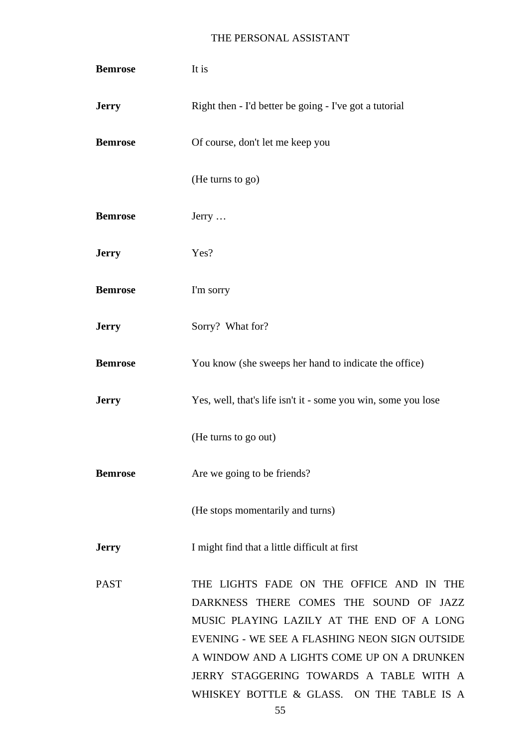| <b>Bemrose</b> | It is                                                                                                                                                                                                                                                                                                                  |
|----------------|------------------------------------------------------------------------------------------------------------------------------------------------------------------------------------------------------------------------------------------------------------------------------------------------------------------------|
| <b>Jerry</b>   | Right then - I'd better be going - I've got a tutorial                                                                                                                                                                                                                                                                 |
| <b>Bemrose</b> | Of course, don't let me keep you                                                                                                                                                                                                                                                                                       |
|                | (He turns to go)                                                                                                                                                                                                                                                                                                       |
| <b>Bemrose</b> | $Jerry \dots$                                                                                                                                                                                                                                                                                                          |
| <b>Jerry</b>   | Yes?                                                                                                                                                                                                                                                                                                                   |
| <b>Bemrose</b> | I'm sorry                                                                                                                                                                                                                                                                                                              |
| <b>Jerry</b>   | Sorry? What for?                                                                                                                                                                                                                                                                                                       |
| <b>Bemrose</b> | You know (she sweeps her hand to indicate the office)                                                                                                                                                                                                                                                                  |
| <b>Jerry</b>   | Yes, well, that's life isn't it - some you win, some you lose                                                                                                                                                                                                                                                          |
|                | (He turns to go out)                                                                                                                                                                                                                                                                                                   |
| <b>Bemrose</b> | Are we going to be friends?                                                                                                                                                                                                                                                                                            |
|                | (He stops momentarily and turns)                                                                                                                                                                                                                                                                                       |
| <b>Jerry</b>   | I might find that a little difficult at first                                                                                                                                                                                                                                                                          |
| <b>PAST</b>    | THE LIGHTS FADE ON THE OFFICE AND IN THE<br>DARKNESS THERE COMES THE SOUND OF JAZZ<br>MUSIC PLAYING LAZILY AT THE END OF A LONG<br>EVENING - WE SEE A FLASHING NEON SIGN OUTSIDE<br>A WINDOW AND A LIGHTS COME UP ON A DRUNKEN<br>JERRY STAGGERING TOWARDS A TABLE WITH A<br>WHISKEY BOTTLE & GLASS. ON THE TABLE IS A |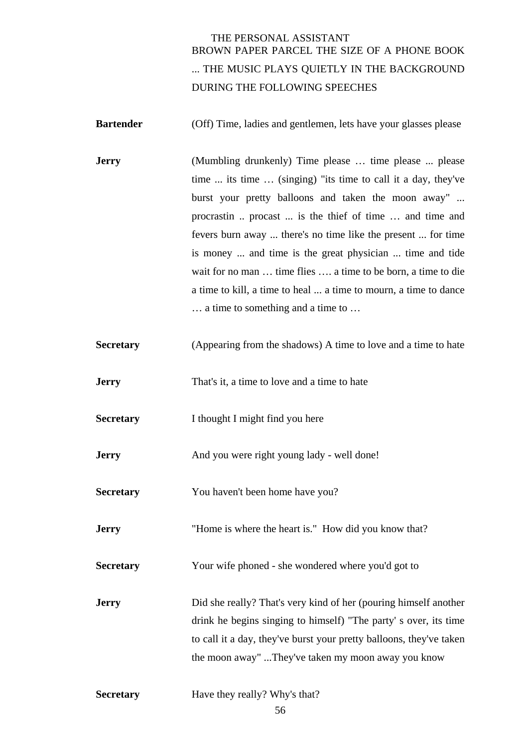# THE PERSONAL ASSISTANT BROWN PAPER PARCEL THE SIZE OF A PHONE BOOK ... THE MUSIC PLAYS QUIETLY IN THE BACKGROUND DURING THE FOLLOWING SPEECHES

**Bartender** (Off) Time, ladies and gentlemen, lets have your glasses please

- **Jerry** (Mumbling drunkenly) Time please ... time please ... please time ... its time … (singing) "its time to call it a day, they've burst your pretty balloons and taken the moon away" ... procrastin .. procast ... is the thief of time … and time and fevers burn away ... there's no time like the present ... for time is money ... and time is the great physician ... time and tide wait for no man … time flies …. a time to be born, a time to die a time to kill, a time to heal ... a time to mourn, a time to dance … a time to something and a time to …
- **Secretary** (Appearing from the shadows) A time to love and a time to hate
- **Jerry** That's it, a time to love and a time to hate
- **Secretary** I thought I might find you here
- **Jerry** And you were right young lady well done!
- **Secretary** You haven't been home have you?
- **Jerry** "Home is where the heart is." How did you know that?
- **Secretary** Your wife phoned she wondered where you'd got to
- **Jerry** Did she really? That's very kind of her (pouring himself another drink he begins singing to himself) "The party' s over, its time to call it a day, they've burst your pretty balloons, they've taken the moon away" ...They've taken my moon away you know
- **Secretary** Have they really? Why's that?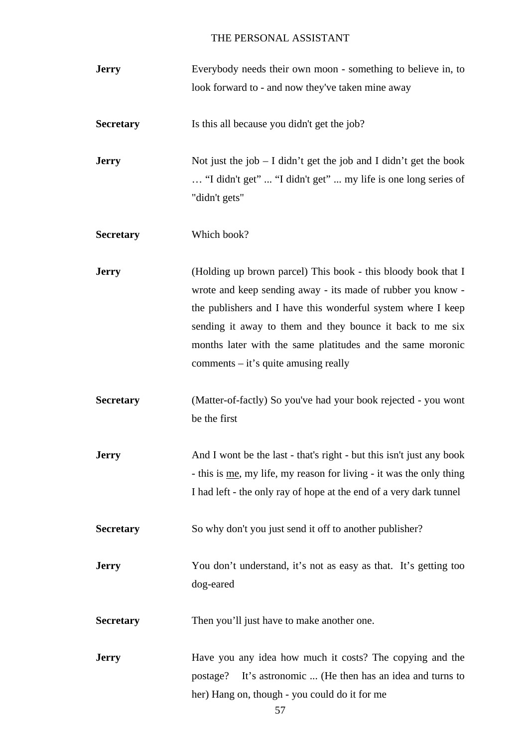| <b>Jerry</b>     | Everybody needs their own moon - something to believe in, to                                                                                                                                                                                                                                                                                                      |
|------------------|-------------------------------------------------------------------------------------------------------------------------------------------------------------------------------------------------------------------------------------------------------------------------------------------------------------------------------------------------------------------|
|                  | look forward to - and now they've taken mine away                                                                                                                                                                                                                                                                                                                 |
| <b>Secretary</b> | Is this all because you didn't get the job?                                                                                                                                                                                                                                                                                                                       |
| <b>Jerry</b>     | Not just the job $- I$ didn't get the job and I didn't get the book<br>"I didn't get"  "I didn't get"  my life is one long series of<br>"didn't gets"                                                                                                                                                                                                             |
| <b>Secretary</b> | Which book?                                                                                                                                                                                                                                                                                                                                                       |
| <b>Jerry</b>     | (Holding up brown parcel) This book - this bloody book that I<br>wrote and keep sending away - its made of rubber you know -<br>the publishers and I have this wonderful system where I keep<br>sending it away to them and they bounce it back to me six<br>months later with the same platitudes and the same moronic<br>comments $-$ it's quite amusing really |
| <b>Secretary</b> | (Matter-of-factly) So you've had your book rejected - you wont<br>be the first                                                                                                                                                                                                                                                                                    |
| <b>Jerry</b>     | And I wont be the last - that's right - but this isn't just any book<br>- this is me, my life, my reason for living - it was the only thing<br>I had left - the only ray of hope at the end of a very dark tunnel                                                                                                                                                 |
| <b>Secretary</b> | So why don't you just send it off to another publisher?                                                                                                                                                                                                                                                                                                           |
| <b>Jerry</b>     | You don't understand, it's not as easy as that. It's getting too<br>dog-eared                                                                                                                                                                                                                                                                                     |
| <b>Secretary</b> | Then you'll just have to make another one.                                                                                                                                                                                                                                                                                                                        |
| <b>Jerry</b>     | Have you any idea how much it costs? The copying and the<br>It's astronomic  (He then has an idea and turns to<br>postage?<br>her) Hang on, though - you could do it for me                                                                                                                                                                                       |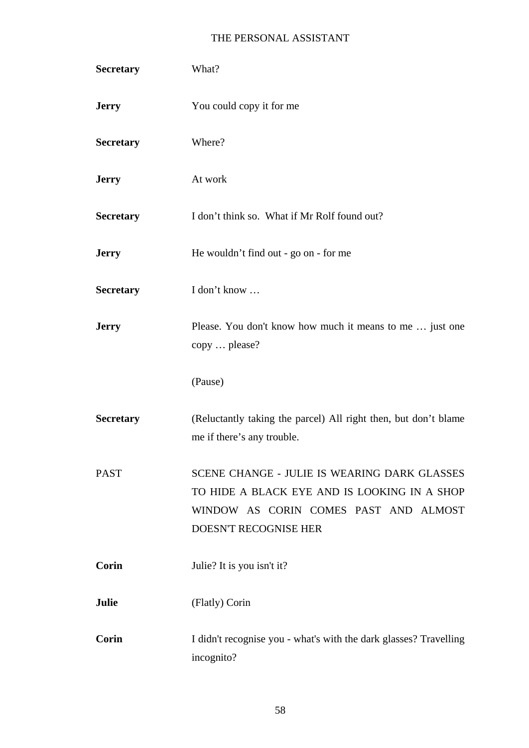| <b>Secretary</b> | What?                                                                                                                                                          |
|------------------|----------------------------------------------------------------------------------------------------------------------------------------------------------------|
| <b>Jerry</b>     | You could copy it for me                                                                                                                                       |
| <b>Secretary</b> | Where?                                                                                                                                                         |
| <b>Jerry</b>     | At work                                                                                                                                                        |
| <b>Secretary</b> | I don't think so. What if Mr Rolf found out?                                                                                                                   |
| <b>Jerry</b>     | He wouldn't find out - go on - for me                                                                                                                          |
| <b>Secretary</b> | I don't know                                                                                                                                                   |
| <b>Jerry</b>     | Please. You don't know how much it means to me  just one<br>copy  please?                                                                                      |
|                  | (Pause)                                                                                                                                                        |
| <b>Secretary</b> | (Reluctantly taking the parcel) All right then, but don't blame<br>me if there's any trouble.                                                                  |
| <b>PAST</b>      | SCENE CHANGE - JULIE IS WEARING DARK GLASSES<br>TO HIDE A BLACK EYE AND IS LOOKING IN A SHOP<br>WINDOW AS CORIN COMES PAST AND ALMOST<br>DOESN'T RECOGNISE HER |
| Corin            | Julie? It is you isn't it?                                                                                                                                     |
| Julie            | (Flatly) Corin                                                                                                                                                 |
| <b>Corin</b>     | I didn't recognise you - what's with the dark glasses? Travelling<br>incognito?                                                                                |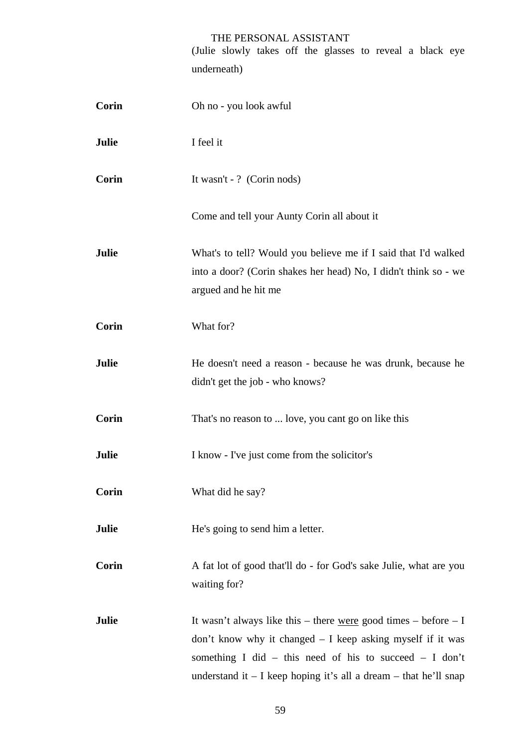(Julie slowly takes off the glasses to reveal a black eye underneath)

| <b>Corin</b> | Oh no - you look awful                                                                                                                                                                                                                                             |
|--------------|--------------------------------------------------------------------------------------------------------------------------------------------------------------------------------------------------------------------------------------------------------------------|
| Julie        | I feel it                                                                                                                                                                                                                                                          |
| Corin        | It wasn't - ? (Corin nods)                                                                                                                                                                                                                                         |
|              | Come and tell your Aunty Corin all about it                                                                                                                                                                                                                        |
| Julie        | What's to tell? Would you believe me if I said that I'd walked<br>into a door? (Corin shakes her head) No, I didn't think so - we<br>argued and he hit me                                                                                                          |
| Corin        | What for?                                                                                                                                                                                                                                                          |
| Julie        | He doesn't need a reason - because he was drunk, because he<br>didn't get the job - who knows?                                                                                                                                                                     |
| Corin        | That's no reason to  love, you cant go on like this                                                                                                                                                                                                                |
| Julie        | I know - I've just come from the solicitor's                                                                                                                                                                                                                       |
| Corin        | What did he say?                                                                                                                                                                                                                                                   |
| Julie        | He's going to send him a letter.                                                                                                                                                                                                                                   |
| Corin        | A fat lot of good that'll do - for God's sake Julie, what are you<br>waiting for?                                                                                                                                                                                  |
| Julie        | It wasn't always like this – there were good times – before – I<br>don't know why it changed $- I$ keep asking myself if it was<br>something I did – this need of his to succeed – I don't<br>understand it $- I$ keep hoping it's all a dream $-$ that he'll snap |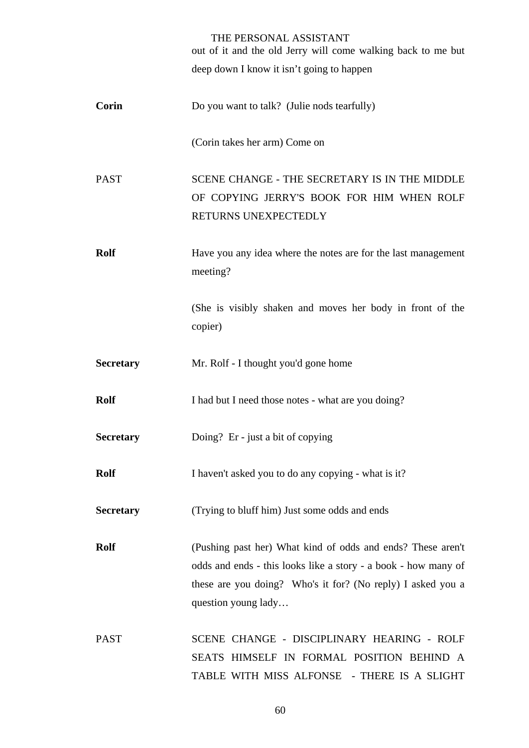|                  | THE PERSONAL ASSISTANT<br>out of it and the old Jerry will come walking back to me but                                                                                                                              |
|------------------|---------------------------------------------------------------------------------------------------------------------------------------------------------------------------------------------------------------------|
|                  | deep down I know it isn't going to happen                                                                                                                                                                           |
| <b>Corin</b>     | Do you want to talk? (Julie nods tearfully)                                                                                                                                                                         |
|                  | (Corin takes her arm) Come on                                                                                                                                                                                       |
| <b>PAST</b>      | SCENE CHANGE - THE SECRETARY IS IN THE MIDDLE<br>OF COPYING JERRY'S BOOK FOR HIM WHEN ROLF<br>RETURNS UNEXPECTEDLY                                                                                                  |
| <b>Rolf</b>      | Have you any idea where the notes are for the last management<br>meeting?                                                                                                                                           |
|                  | (She is visibly shaken and moves her body in front of the<br>copier)                                                                                                                                                |
| <b>Secretary</b> | Mr. Rolf - I thought you'd gone home                                                                                                                                                                                |
| <b>Rolf</b>      | I had but I need those notes - what are you doing?                                                                                                                                                                  |
| <b>Secretary</b> | Doing? Er - just a bit of copying                                                                                                                                                                                   |
| <b>Rolf</b>      | I haven't asked you to do any copying - what is it?                                                                                                                                                                 |
| <b>Secretary</b> | (Trying to bluff him) Just some odds and ends                                                                                                                                                                       |
| <b>Rolf</b>      | (Pushing past her) What kind of odds and ends? These aren't<br>odds and ends - this looks like a story - a book - how many of<br>these are you doing? Who's it for? (No reply) I asked you a<br>question young lady |
| <b>PAST</b>      | SCENE CHANGE - DISCIPLINARY HEARING - ROLF<br>SEATS HIMSELF IN FORMAL POSITION BEHIND A<br>TABLE WITH MISS ALFONSE - THERE IS A SLIGHT                                                                              |

60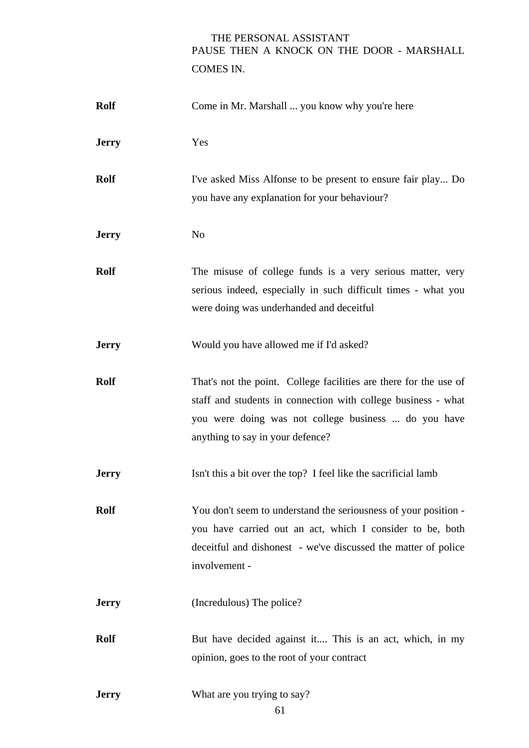# THE PERSONAL ASSISTANT PAUSE THEN A KNOCK ON THE DOOR - MARSHALL COMES IN.

| <b>Rolf</b>  | Come in Mr. Marshall  you know why you're here                                                                                                                                                                                 |
|--------------|--------------------------------------------------------------------------------------------------------------------------------------------------------------------------------------------------------------------------------|
| <b>Jerry</b> | Yes                                                                                                                                                                                                                            |
| <b>Rolf</b>  | I've asked Miss Alfonse to be present to ensure fair play Do<br>you have any explanation for your behaviour?                                                                                                                   |
| <b>Jerry</b> | N <sub>o</sub>                                                                                                                                                                                                                 |
| <b>Rolf</b>  | The misuse of college funds is a very serious matter, very<br>serious indeed, especially in such difficult times - what you<br>were doing was underhanded and deceitful                                                        |
| <b>Jerry</b> | Would you have allowed me if I'd asked?                                                                                                                                                                                        |
| <b>Rolf</b>  | That's not the point. College facilities are there for the use of<br>staff and students in connection with college business - what<br>you were doing was not college business  do you have<br>anything to say in your defence? |
| <b>Jerry</b> | Isn't this a bit over the top? I feel like the sacrificial lamb                                                                                                                                                                |
| <b>Rolf</b>  | You don't seem to understand the seriousness of your position -<br>you have carried out an act, which I consider to be, both<br>deceitful and dishonest - we've discussed the matter of police<br>involvement -                |
| <b>Jerry</b> | (Incredulous) The police?                                                                                                                                                                                                      |
| <b>Rolf</b>  | But have decided against it This is an act, which, in my<br>opinion, goes to the root of your contract                                                                                                                         |
| <b>Jerry</b> | What are you trying to say?                                                                                                                                                                                                    |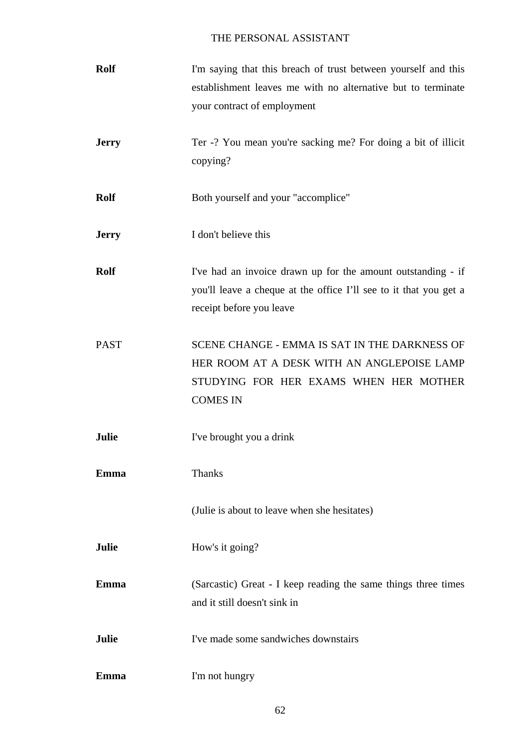| <b>Rolf</b>  | I'm saying that this breach of trust between yourself and this<br>establishment leaves me with no alternative but to terminate<br>your contract of employment |
|--------------|---------------------------------------------------------------------------------------------------------------------------------------------------------------|
| <b>Jerry</b> | Ter -? You mean you're sacking me? For doing a bit of illicit<br>copying?                                                                                     |
| <b>Rolf</b>  | Both yourself and your "accomplice"                                                                                                                           |
| <b>Jerry</b> | I don't believe this                                                                                                                                          |
| <b>Rolf</b>  | I've had an invoice drawn up for the amount outstanding - if<br>you'll leave a cheque at the office I'll see to it that you get a<br>receipt before you leave |
| <b>PAST</b>  | SCENE CHANGE - EMMA IS SAT IN THE DARKNESS OF<br>HER ROOM AT A DESK WITH AN ANGLEPOISE LAMP<br>STUDYING FOR HER EXAMS WHEN HER MOTHER<br><b>COMES IN</b>      |
| Julie        | I've brought you a drink                                                                                                                                      |
| Emma         | <b>Thanks</b>                                                                                                                                                 |
|              | (Julie is about to leave when she hesitates)                                                                                                                  |
| Julie        | How's it going?                                                                                                                                               |
| Emma         | (Sarcastic) Great - I keep reading the same things three times<br>and it still doesn't sink in                                                                |
| Julie        | I've made some sandwiches downstairs                                                                                                                          |
| Emma         | I'm not hungry                                                                                                                                                |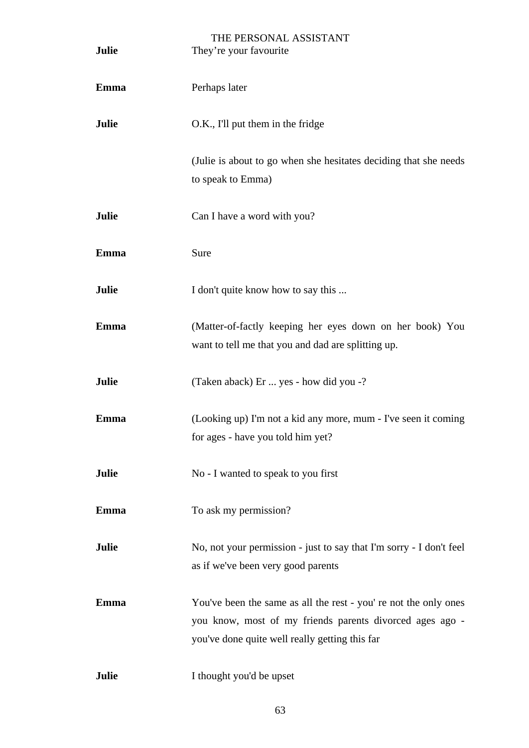| Julie        | THE PERSONAL ASSISTANT<br>They're your favourite                                                                                                                               |
|--------------|--------------------------------------------------------------------------------------------------------------------------------------------------------------------------------|
| <b>Emma</b>  | Perhaps later                                                                                                                                                                  |
| <b>Julie</b> | O.K., I'll put them in the fridge                                                                                                                                              |
|              | (Julie is about to go when she hesitates deciding that she needs<br>to speak to Emma)                                                                                          |
| Julie        | Can I have a word with you?                                                                                                                                                    |
| Emma         | Sure                                                                                                                                                                           |
| Julie        | I don't quite know how to say this                                                                                                                                             |
| <b>Emma</b>  | (Matter-of-factly keeping her eyes down on her book) You<br>want to tell me that you and dad are splitting up.                                                                 |
| Julie        | (Taken aback) Er  yes - how did you -?                                                                                                                                         |
| <b>Emma</b>  | (Looking up) I'm not a kid any more, mum - I've seen it coming<br>for ages - have you told him yet?                                                                            |
| Julie        | No - I wanted to speak to you first                                                                                                                                            |
| <b>Emma</b>  | To ask my permission?                                                                                                                                                          |
| Julie        | No, not your permission - just to say that I'm sorry - I don't feel<br>as if we've been very good parents                                                                      |
| Emma         | You've been the same as all the rest - you' re not the only ones<br>you know, most of my friends parents divorced ages ago -<br>you've done quite well really getting this far |
| Julie        | I thought you'd be upset                                                                                                                                                       |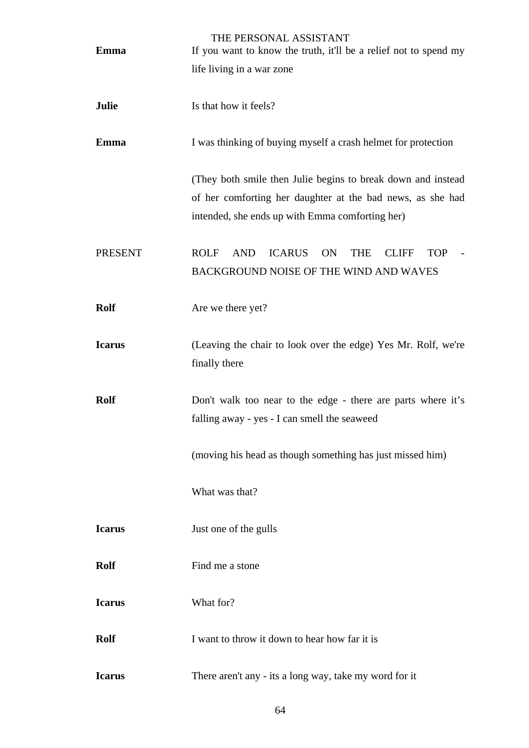| Emma           | THE PERSONAL ASSISTANT<br>If you want to know the truth, it'll be a relief not to spend my                                                                                    |
|----------------|-------------------------------------------------------------------------------------------------------------------------------------------------------------------------------|
|                | life living in a war zone                                                                                                                                                     |
| Julie          | Is that how it feels?                                                                                                                                                         |
| <b>Emma</b>    | I was thinking of buying myself a crash helmet for protection                                                                                                                 |
|                | (They both smile then Julie begins to break down and instead<br>of her comforting her daughter at the bad news, as she had<br>intended, she ends up with Emma comforting her) |
| <b>PRESENT</b> | <b>ROLF</b><br><b>AND</b><br><b>ICARUS</b><br>ON<br><b>THE</b><br><b>CLIFF</b><br><b>TOP</b><br>BACKGROUND NOISE OF THE WIND AND WAVES                                        |
| <b>Rolf</b>    | Are we there yet?                                                                                                                                                             |
| <b>Icarus</b>  | (Leaving the chair to look over the edge) Yes Mr. Rolf, we're<br>finally there                                                                                                |
| <b>Rolf</b>    | Don't walk too near to the edge - there are parts where it's<br>falling away - yes - I can smell the seaweed                                                                  |
|                | (moving his head as though something has just missed him)                                                                                                                     |
|                | What was that?                                                                                                                                                                |
| <b>Icarus</b>  | Just one of the gulls                                                                                                                                                         |
| <b>Rolf</b>    | Find me a stone                                                                                                                                                               |
| <b>Icarus</b>  | What for?                                                                                                                                                                     |
| <b>Rolf</b>    | I want to throw it down to hear how far it is                                                                                                                                 |
| <b>Icarus</b>  | There aren't any - its a long way, take my word for it                                                                                                                        |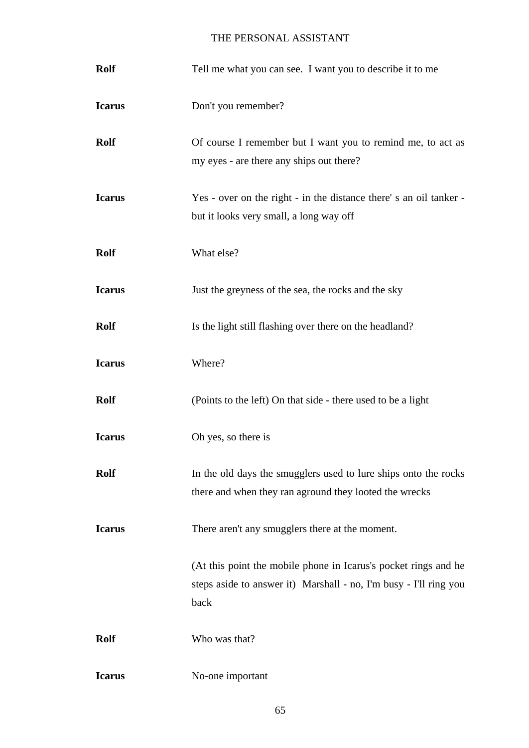| <b>Rolf</b>   | Tell me what you can see. I want you to describe it to me                                                                                    |
|---------------|----------------------------------------------------------------------------------------------------------------------------------------------|
| <b>Icarus</b> | Don't you remember?                                                                                                                          |
| <b>Rolf</b>   | Of course I remember but I want you to remind me, to act as<br>my eyes - are there any ships out there?                                      |
| <b>Icarus</b> | Yes - over on the right - in the distance there's an oil tanker -<br>but it looks very small, a long way off                                 |
| <b>Rolf</b>   | What else?                                                                                                                                   |
| <b>Icarus</b> | Just the greyness of the sea, the rocks and the sky                                                                                          |
| <b>Rolf</b>   | Is the light still flashing over there on the headland?                                                                                      |
| <b>Icarus</b> | Where?                                                                                                                                       |
| <b>Rolf</b>   | (Points to the left) On that side - there used to be a light                                                                                 |
| <b>Icarus</b> | Oh yes, so there is                                                                                                                          |
| <b>Rolf</b>   | In the old days the smugglers used to lure ships onto the rocks<br>there and when they ran aground they looted the wrecks                    |
| <b>Icarus</b> | There aren't any smugglers there at the moment.                                                                                              |
|               | (At this point the mobile phone in Icarus's pocket rings and he<br>steps aside to answer it) Marshall - no, I'm busy - I'll ring you<br>back |
| <b>Rolf</b>   | Who was that?                                                                                                                                |
| <b>Icarus</b> | No-one important                                                                                                                             |